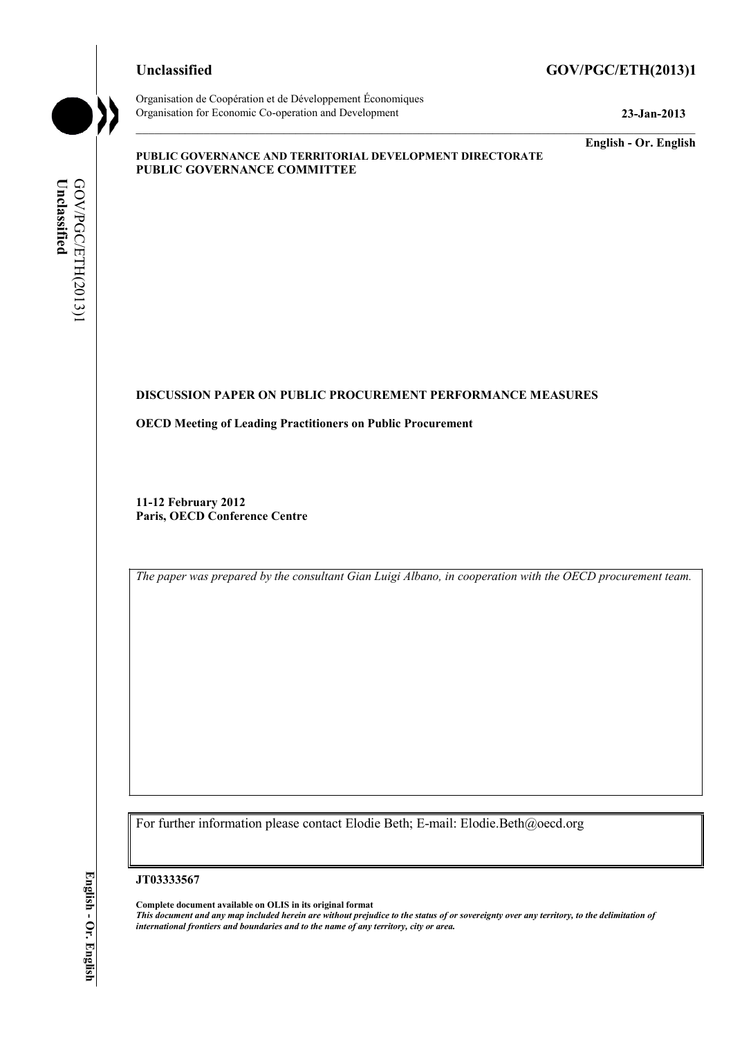#### **Unclassified GOV/PGC/ETH(2013)1**



Organisation de Coopération et de Développement Économiques Organisation for Economic Co-operation and Development **23-Jan-2013** 

**English - Or. English** 

#### **PUBLIC GOVERNANCE AND TERRITORIAL DEVELOPMENT DIRECTORATE PUBLIC GOVERNANCE COMMITTEE**

# Unclassified **Unclassified**  GOV/PGC/ETH(2013)] GOV/PGC/ETH(2013)1

#### **DISCUSSION PAPER ON PUBLIC PROCUREMENT PERFORMANCE MEASURES**

**OECD Meeting of Leading Practitioners on Public Procurement** 

**11-12 February 2012 Paris, OECD Conference Centre** 

*The paper was prepared by the consultant Gian Luigi Albano, in cooperation with the OECD procurement team.* 

For further information please contact Elodie Beth; E-mail: Elodie.Beth@oecd.org

**JT03333567** 

**Complete document available on OLIS in its original format** *This document and any map included herein are without prejudice to the status of or sovereignty over any territory, to the delimitation of international frontiers and boundaries and to the name of any territory, city or area.*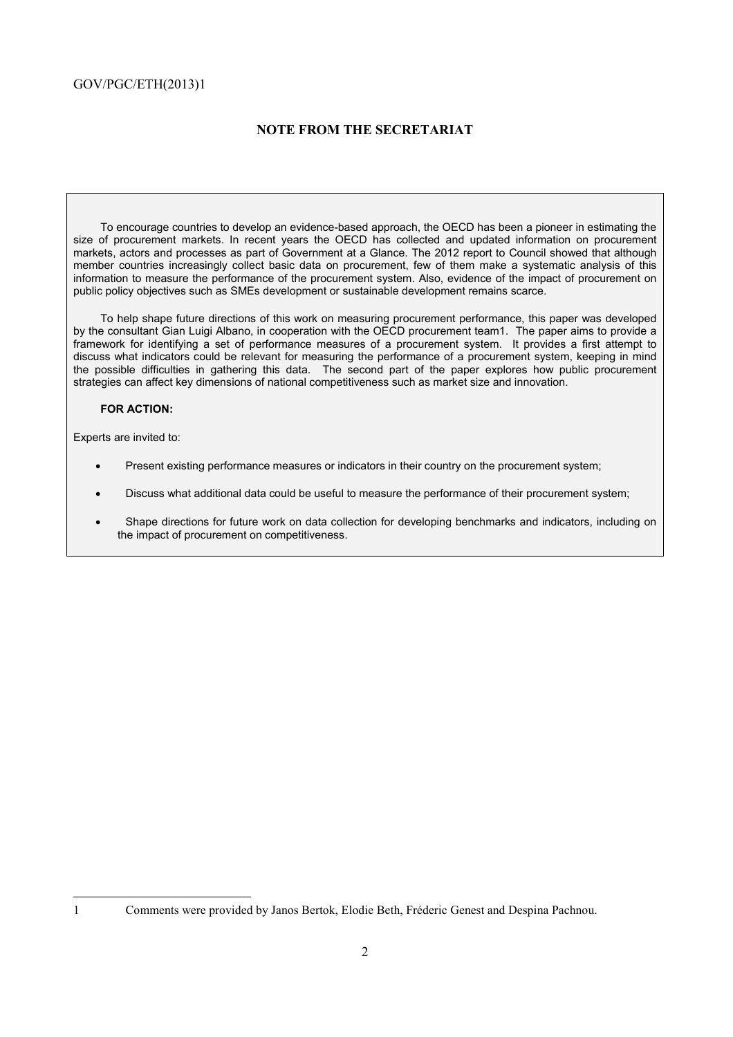#### **NOTE FROM THE SECRETARIAT**

To encourage countries to develop an evidence-based approach, the OECD has been a pioneer in estimating the size of procurement markets. In recent years the OECD has collected and updated information on procurement markets, actors and processes as part of Government at a Glance. The 2012 report to Council showed that although member countries increasingly collect basic data on procurement, few of them make a systematic analysis of this information to measure the performance of the procurement system. Also, evidence of the impact of procurement on public policy objectives such as SMEs development or sustainable development remains scarce.

To help shape future directions of this work on measuring procurement performance, this paper was developed by the consultant Gian Luigi Albano, in cooperation with the OECD procurement team1. The paper aims to provide a framework for identifying a set of performance measures of a procurement system. It provides a first attempt to discuss what indicators could be relevant for measuring the performance of a procurement system, keeping in mind the possible difficulties in gathering this data. The second part of the paper explores how public procurement strategies can affect key dimensions of national competitiveness such as market size and innovation.

#### **FOR ACTION:**

Experts are invited to:

- Present existing performance measures or indicators in their country on the procurement system;
- Discuss what additional data could be useful to measure the performance of their procurement system;
- Shape directions for future work on data collection for developing benchmarks and indicators, including on the impact of procurement on competitiveness.

<sup>1</sup> Comments were provided by Janos Bertok, Elodie Beth, Fréderic Genest and Despina Pachnou.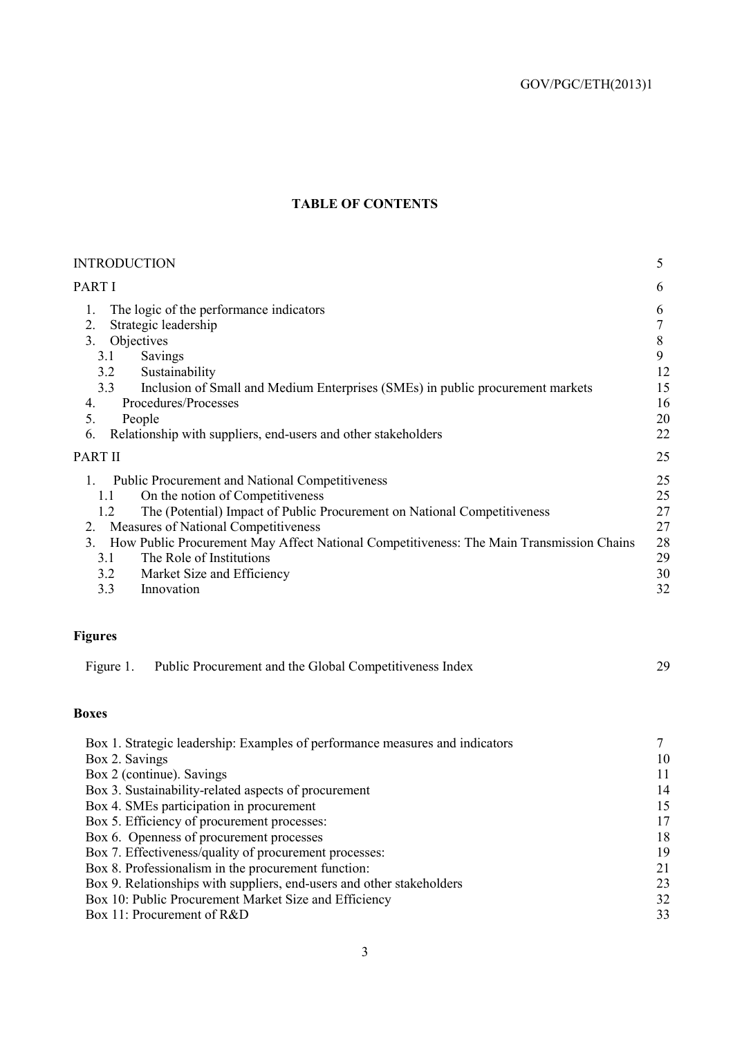### **TABLE OF CONTENTS**

| <b>INTRODUCTION</b>                                                                                                                                                                                                                                                                                                                                                                                                                           | 5                                              |
|-----------------------------------------------------------------------------------------------------------------------------------------------------------------------------------------------------------------------------------------------------------------------------------------------------------------------------------------------------------------------------------------------------------------------------------------------|------------------------------------------------|
| PART I                                                                                                                                                                                                                                                                                                                                                                                                                                        | 6                                              |
| The logic of the performance indicators<br>1.<br>Strategic leadership<br>2.<br>Objectives<br>3 <sub>1</sub><br>3.1<br>Savings<br>Sustainability<br>3.2<br>Inclusion of Small and Medium Enterprises (SMEs) in public procurement markets<br>3.3<br>Procedures/Processes<br>4.<br>5.<br>People<br>Relationship with suppliers, end-users and other stakeholders<br>6.                                                                          | 6<br>7<br>8<br>9<br>12<br>15<br>16<br>20<br>22 |
| <b>PART II</b>                                                                                                                                                                                                                                                                                                                                                                                                                                | 25                                             |
| <b>Public Procurement and National Competitiveness</b><br>On the notion of Competitiveness<br>1.1<br>The (Potential) Impact of Public Procurement on National Competitiveness<br>1.2<br>Measures of National Competitiveness<br>2.<br>How Public Procurement May Affect National Competitiveness: The Main Transmission Chains<br>3 <sub>1</sub><br>The Role of Institutions<br>3.1<br>3.2<br>Market Size and Efficiency<br>3.3<br>Innovation | 25<br>25<br>27<br>27<br>28<br>29<br>30<br>32   |

## **Figures**

| Figure 1. | Public Procurement and the Global Competitiveness Index |  |
|-----------|---------------------------------------------------------|--|
|-----------|---------------------------------------------------------|--|

#### **Boxes**

| Box 1. Strategic leadership: Examples of performance measures and indicators |    |
|------------------------------------------------------------------------------|----|
| Box 2. Savings                                                               | 10 |
| Box 2 (continue). Savings                                                    | 11 |
| Box 3. Sustainability-related aspects of procurement                         | 14 |
| Box 4. SMEs participation in procurement                                     | 15 |
| Box 5. Efficiency of procurement processes:                                  | 17 |
| Box 6. Openness of procurement processes                                     | 18 |
| Box 7. Effectiveness/quality of procurement processes:                       | 19 |
| Box 8. Professionalism in the procurement function:                          | 21 |
| Box 9. Relationships with suppliers, end-users and other stakeholders        | 23 |
| Box 10: Public Procurement Market Size and Efficiency                        | 32 |
| Box 11: Procurement of R&D                                                   | 33 |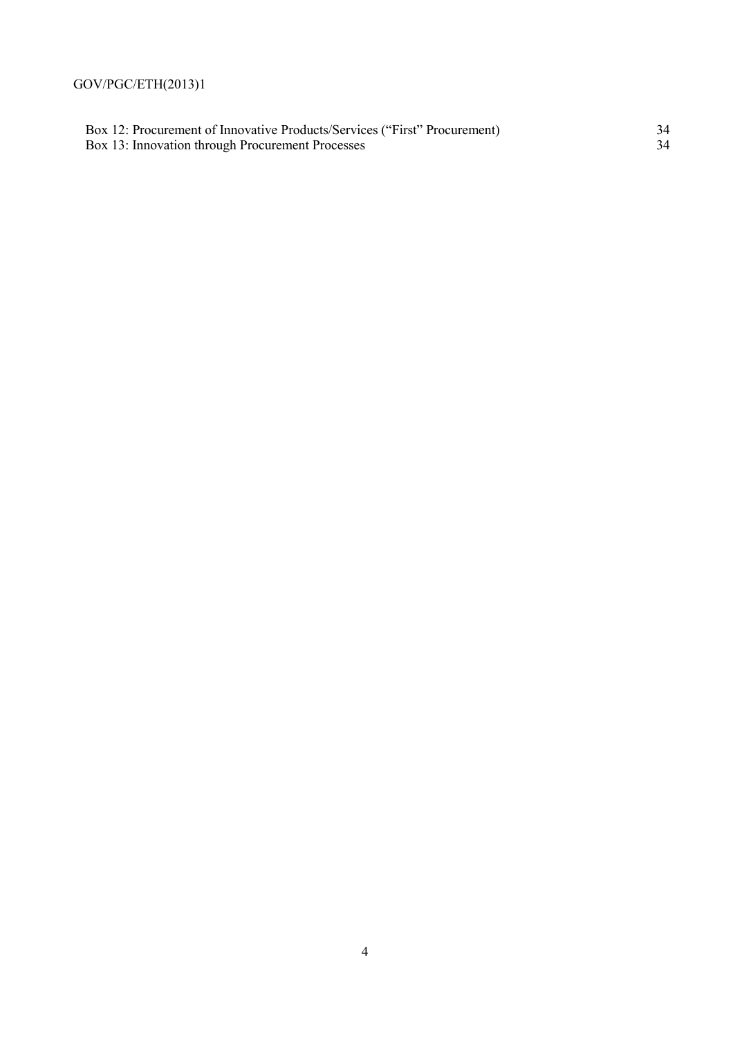Box 12: Procurement of Innovative Products/Services ("First" Procurement) 34 Box 13: Innovation through Procurement Processes 34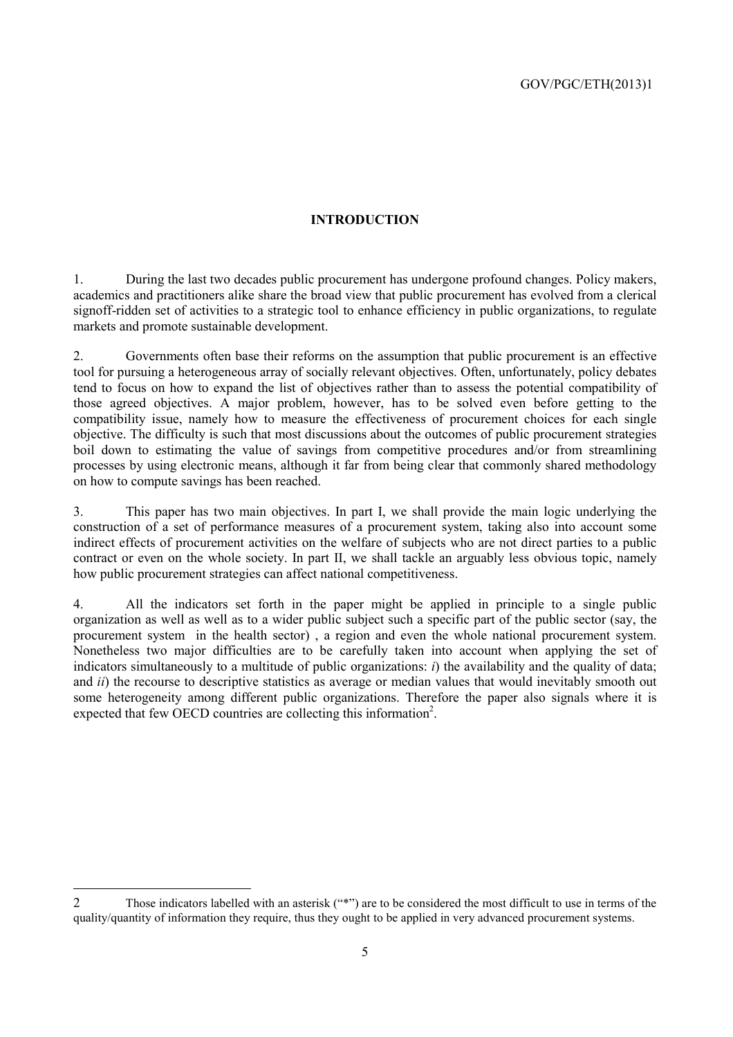#### **INTRODUCTION**

1. During the last two decades public procurement has undergone profound changes. Policy makers, academics and practitioners alike share the broad view that public procurement has evolved from a clerical signoff-ridden set of activities to a strategic tool to enhance efficiency in public organizations, to regulate markets and promote sustainable development.

2. Governments often base their reforms on the assumption that public procurement is an effective tool for pursuing a heterogeneous array of socially relevant objectives. Often, unfortunately, policy debates tend to focus on how to expand the list of objectives rather than to assess the potential compatibility of those agreed objectives. A major problem, however, has to be solved even before getting to the compatibility issue, namely how to measure the effectiveness of procurement choices for each single objective. The difficulty is such that most discussions about the outcomes of public procurement strategies boil down to estimating the value of savings from competitive procedures and/or from streamlining processes by using electronic means, although it far from being clear that commonly shared methodology on how to compute savings has been reached.

3. This paper has two main objectives. In part I, we shall provide the main logic underlying the construction of a set of performance measures of a procurement system, taking also into account some indirect effects of procurement activities on the welfare of subjects who are not direct parties to a public contract or even on the whole society. In part II, we shall tackle an arguably less obvious topic, namely how public procurement strategies can affect national competitiveness.

4. All the indicators set forth in the paper might be applied in principle to a single public organization as well as well as to a wider public subject such a specific part of the public sector (say, the procurement system in the health sector) , a region and even the whole national procurement system. Nonetheless two major difficulties are to be carefully taken into account when applying the set of indicators simultaneously to a multitude of public organizations: *i*) the availability and the quality of data; and *ii*) the recourse to descriptive statistics as average or median values that would inevitably smooth out some heterogeneity among different public organizations. Therefore the paper also signals where it is expected that few OECD countries are collecting this information<sup>2</sup>.

<sup>2</sup> Those indicators labelled with an asterisk ("\*") are to be considered the most difficult to use in terms of the quality/quantity of information they require, thus they ought to be applied in very advanced procurement systems.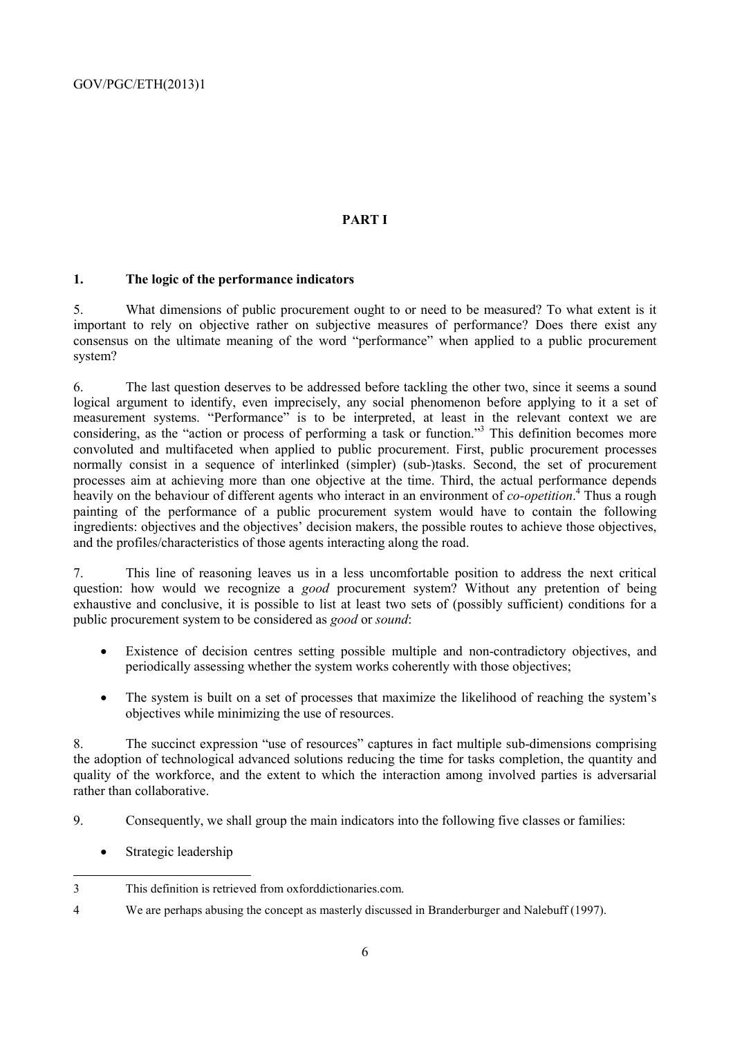#### **PART I**

#### **1. The logic of the performance indicators**

5. What dimensions of public procurement ought to or need to be measured? To what extent is it important to rely on objective rather on subjective measures of performance? Does there exist any consensus on the ultimate meaning of the word "performance" when applied to a public procurement system?

6. The last question deserves to be addressed before tackling the other two, since it seems a sound logical argument to identify, even imprecisely, any social phenomenon before applying to it a set of measurement systems. "Performance" is to be interpreted, at least in the relevant context we are considering, as the "action or process of performing a task or function."<sup>3</sup> This definition becomes more convoluted and multifaceted when applied to public procurement. First, public procurement processes normally consist in a sequence of interlinked (simpler) (sub-)tasks. Second, the set of procurement processes aim at achieving more than one objective at the time. Third, the actual performance depends heavily on the behaviour of different agents who interact in an environment of *co-opetition*. 4 Thus a rough painting of the performance of a public procurement system would have to contain the following ingredients: objectives and the objectives' decision makers, the possible routes to achieve those objectives, and the profiles/characteristics of those agents interacting along the road.

7. This line of reasoning leaves us in a less uncomfortable position to address the next critical question: how would we recognize a *good* procurement system? Without any pretention of being exhaustive and conclusive, it is possible to list at least two sets of (possibly sufficient) conditions for a public procurement system to be considered as *good* or *sound*:

- Existence of decision centres setting possible multiple and non-contradictory objectives, and periodically assessing whether the system works coherently with those objectives;
- The system is built on a set of processes that maximize the likelihood of reaching the system's objectives while minimizing the use of resources.

8. The succinct expression "use of resources" captures in fact multiple sub-dimensions comprising the adoption of technological advanced solutions reducing the time for tasks completion, the quantity and quality of the workforce, and the extent to which the interaction among involved parties is adversarial rather than collaborative.

- 9. Consequently, we shall group the main indicators into the following five classes or families:
	- Strategic leadership

4 We are perhaps abusing the concept as masterly discussed in Branderburger and Nalebuff (1997).

 3 This definition is retrieved from oxforddictionaries.com.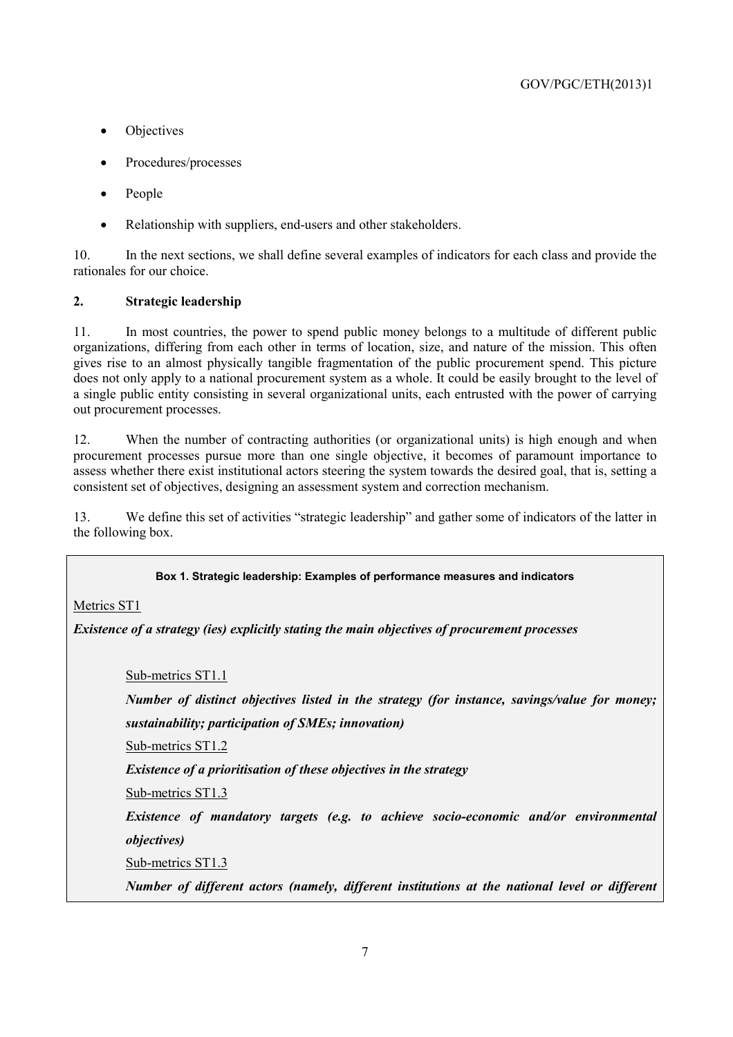- Objectives
- Procedures/processes
- People
- Relationship with suppliers, end-users and other stakeholders.

10. In the next sections, we shall define several examples of indicators for each class and provide the rationales for our choice.

#### **2. Strategic leadership**

11. In most countries, the power to spend public money belongs to a multitude of different public organizations, differing from each other in terms of location, size, and nature of the mission. This often gives rise to an almost physically tangible fragmentation of the public procurement spend. This picture does not only apply to a national procurement system as a whole. It could be easily brought to the level of a single public entity consisting in several organizational units, each entrusted with the power of carrying out procurement processes.

12. When the number of contracting authorities (or organizational units) is high enough and when procurement processes pursue more than one single objective, it becomes of paramount importance to assess whether there exist institutional actors steering the system towards the desired goal, that is, setting a consistent set of objectives, designing an assessment system and correction mechanism.

13. We define this set of activities "strategic leadership" and gather some of indicators of the latter in the following box.

#### **Box 1. Strategic leadership: Examples of performance measures and indicators**

Metrics ST1

*Existence of a strategy (ies) explicitly stating the main objectives of procurement processes* 

Sub-metrics ST1.1

*Number of distinct objectives listed in the strategy (for instance, savings/value for money;* 

*sustainability; participation of SMEs; innovation)* 

Sub-metrics ST1.2

*Existence of a prioritisation of these objectives in the strategy* 

Sub-metrics ST1.3

*Existence of mandatory targets (e.g. to achieve socio-economic and/or environmental objectives)* 

Sub-metrics ST1.3

*Number of different actors (namely, different institutions at the national level or different*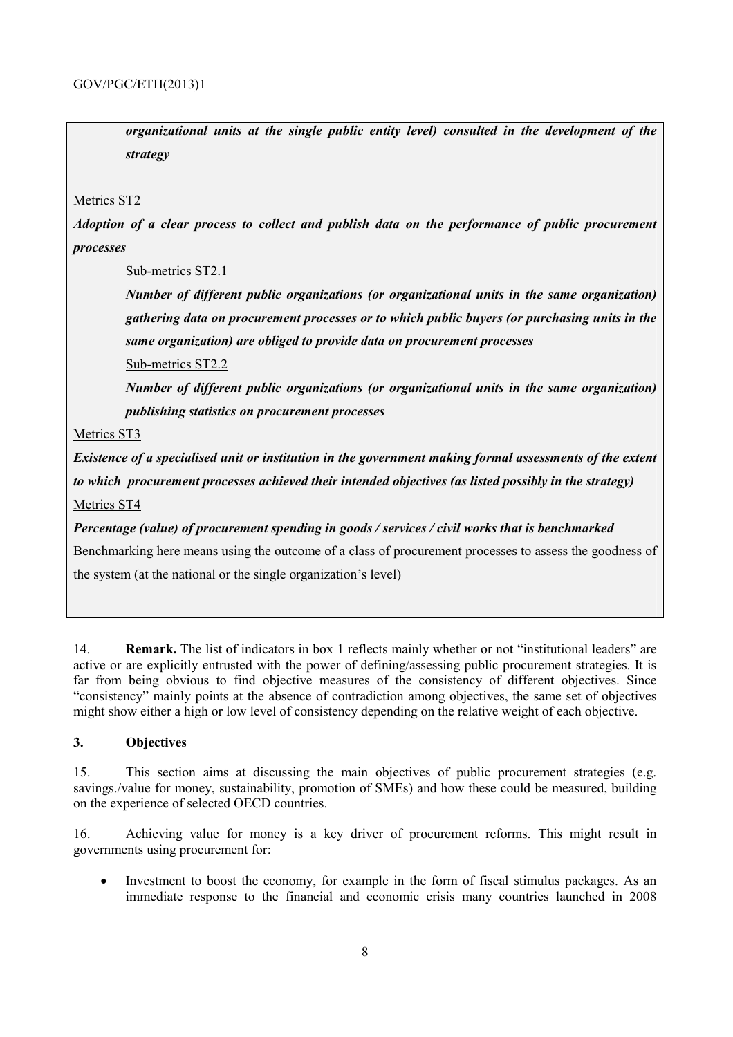*organizational units at the single public entity level) consulted in the development of the strategy* 

#### Metrics ST2

*Adoption of a clear process to collect and publish data on the performance of public procurement processes* 

Sub-metrics ST2.1

*Number of different public organizations (or organizational units in the same organization) gathering data on procurement processes or to which public buyers (or purchasing units in the same organization) are obliged to provide data on procurement processes* 

Sub-metrics ST2.2

*Number of different public organizations (or organizational units in the same organization) publishing statistics on procurement processes* 

Metrics ST3

*Existence of a specialised unit or institution in the government making formal assessments of the extent to which procurement processes achieved their intended objectives (as listed possibly in the strategy)*  Metrics ST4

*Percentage (value) of procurement spending in goods / services / civil works that is benchmarked* Benchmarking here means using the outcome of a class of procurement processes to assess the goodness of the system (at the national or the single organization's level)

14. **Remark.** The list of indicators in box 1 reflects mainly whether or not "institutional leaders" are active or are explicitly entrusted with the power of defining/assessing public procurement strategies. It is far from being obvious to find objective measures of the consistency of different objectives. Since "consistency" mainly points at the absence of contradiction among objectives, the same set of objectives might show either a high or low level of consistency depending on the relative weight of each objective.

#### **3. Objectives**

15. This section aims at discussing the main objectives of public procurement strategies (e.g. savings./value for money, sustainability, promotion of SMEs) and how these could be measured, building on the experience of selected OECD countries.

16. Achieving value for money is a key driver of procurement reforms. This might result in governments using procurement for:

• Investment to boost the economy, for example in the form of fiscal stimulus packages. As an immediate response to the financial and economic crisis many countries launched in 2008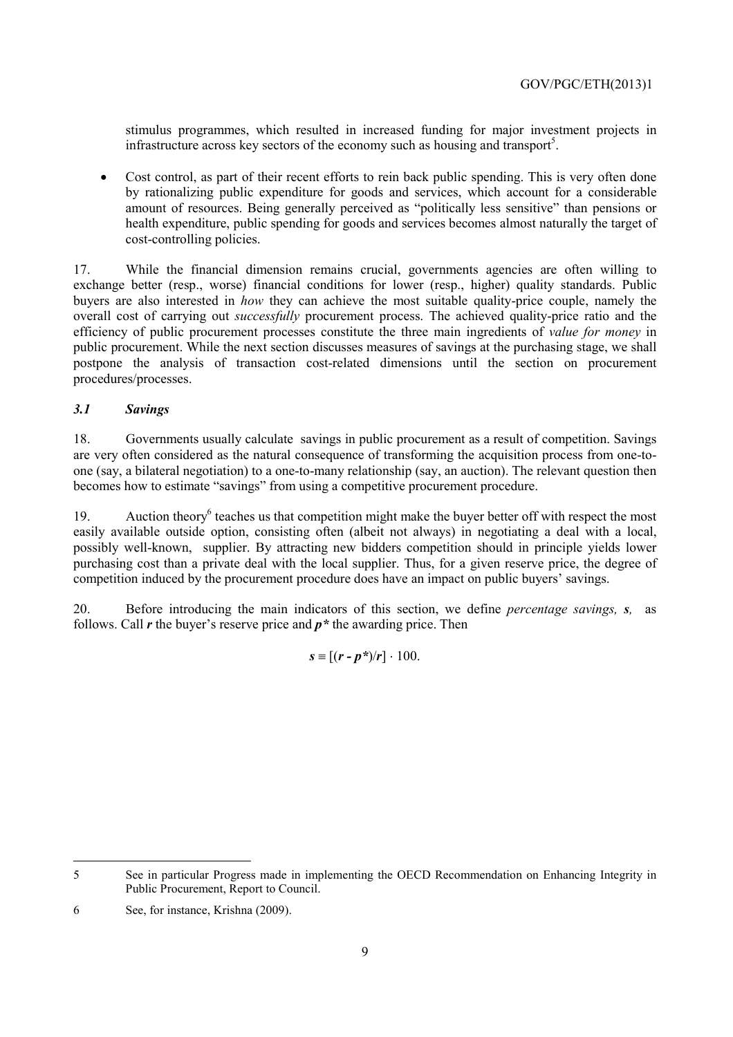stimulus programmes, which resulted in increased funding for major investment projects in infrastructure across key sectors of the economy such as housing and transport<sup>5</sup>.

• Cost control, as part of their recent efforts to rein back public spending. This is very often done by rationalizing public expenditure for goods and services, which account for a considerable amount of resources. Being generally perceived as "politically less sensitive" than pensions or health expenditure, public spending for goods and services becomes almost naturally the target of cost-controlling policies.

17. While the financial dimension remains crucial, governments agencies are often willing to exchange better (resp., worse) financial conditions for lower (resp., higher) quality standards. Public buyers are also interested in *how* they can achieve the most suitable quality-price couple, namely the overall cost of carrying out *successfully* procurement process. The achieved quality-price ratio and the efficiency of public procurement processes constitute the three main ingredients of *value for money* in public procurement. While the next section discusses measures of savings at the purchasing stage, we shall postpone the analysis of transaction cost-related dimensions until the section on procurement procedures/processes.

#### *3.1 Savings*

18. Governments usually calculate savings in public procurement as a result of competition. Savings are very often considered as the natural consequence of transforming the acquisition process from one-toone (say, a bilateral negotiation) to a one-to-many relationship (say, an auction). The relevant question then becomes how to estimate "savings" from using a competitive procurement procedure.

19. Auction theory<sup>6</sup> teaches us that competition might make the buyer better off with respect the most easily available outside option, consisting often (albeit not always) in negotiating a deal with a local, possibly well-known, supplier. By attracting new bidders competition should in principle yields lower purchasing cost than a private deal with the local supplier. Thus, for a given reserve price, the degree of competition induced by the procurement procedure does have an impact on public buyers' savings.

20. Before introducing the main indicators of this section, we define *percentage savings, s,* as follows. Call *r* the buyer's reserve price and *p\** the awarding price. Then

 $s \equiv [(r - p^*)/r] \cdot 100.$ 

 $\overline{a}$ 

<sup>5</sup> See in particular Progress made in implementing the OECD Recommendation on Enhancing Integrity in Public Procurement, Report to Council.

<sup>6</sup> See, for instance, Krishna (2009).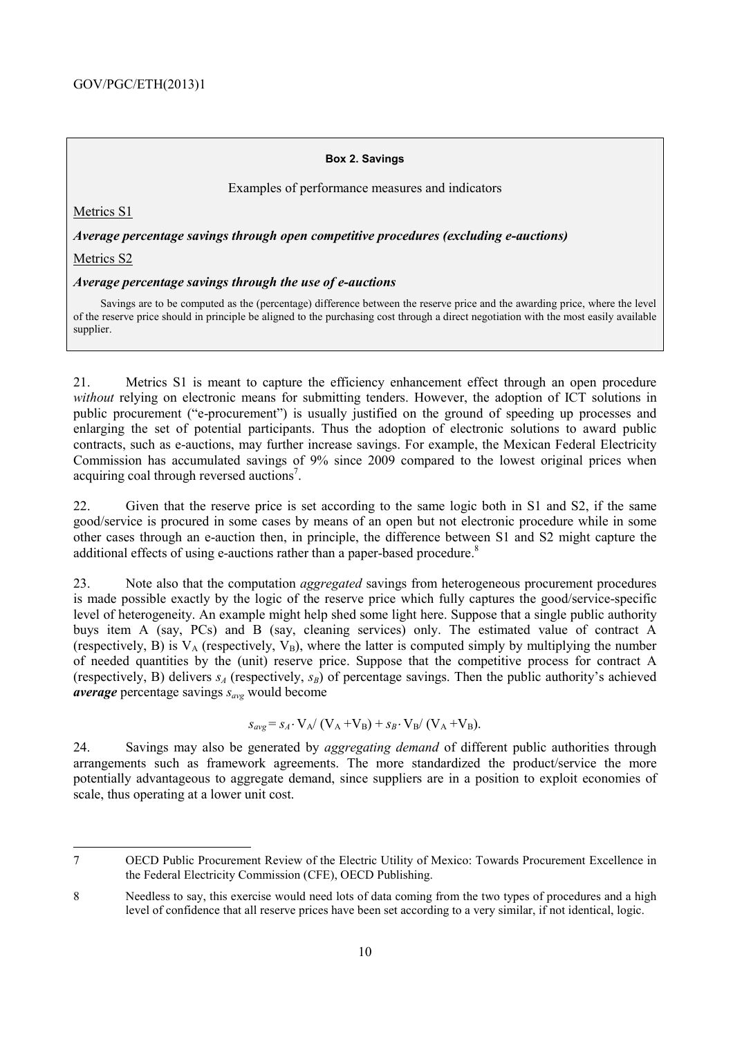#### **Box 2. Savings**

Examples of performance measures and indicators

Metrics S1

*Average percentage savings through open competitive procedures (excluding e-auctions)* 

Metrics S2

#### *Average percentage savings through the use of e-auctions*

Savings are to be computed as the (percentage) difference between the reserve price and the awarding price, where the level of the reserve price should in principle be aligned to the purchasing cost through a direct negotiation with the most easily available supplier.

21. Metrics S1 is meant to capture the efficiency enhancement effect through an open procedure *without* relying on electronic means for submitting tenders. However, the adoption of ICT solutions in public procurement ("e-procurement") is usually justified on the ground of speeding up processes and enlarging the set of potential participants. Thus the adoption of electronic solutions to award public contracts, such as e-auctions, may further increase savings. For example, the Mexican Federal Electricity Commission has accumulated savings of 9% since 2009 compared to the lowest original prices when acquiring coal through reversed auctions<sup>7</sup>.

22. Given that the reserve price is set according to the same logic both in S1 and S2, if the same good/service is procured in some cases by means of an open but not electronic procedure while in some other cases through an e-auction then, in principle, the difference between S1 and S2 might capture the additional effects of using e-auctions rather than a paper-based procedure.<sup>8</sup>

23. Note also that the computation *aggregated* savings from heterogeneous procurement procedures is made possible exactly by the logic of the reserve price which fully captures the good/service-specific level of heterogeneity. An example might help shed some light here. Suppose that a single public authority buys item A (say, PCs) and B (say, cleaning services) only. The estimated value of contract A (respectively, B) is  $V_A$  (respectively,  $V_B$ ), where the latter is computed simply by multiplying the number of needed quantities by the (unit) reserve price. Suppose that the competitive process for contract A (respectively, B) delivers  $s_A$  (respectively,  $s_B$ ) of percentage savings. Then the public authority's achieved *average* percentage savings *savg* would become

$$
S_{avg} = S_A \cdot V_A / (V_A + V_B) + S_B \cdot V_B / (V_A + V_B).
$$

24. Savings may also be generated by *aggregating demand* of different public authorities through arrangements such as framework agreements. The more standardized the product/service the more potentially advantageous to aggregate demand, since suppliers are in a position to exploit economies of scale, thus operating at a lower unit cost.

<sup>7</sup> OECD Public Procurement Review of the Electric Utility of Mexico: Towards Procurement Excellence in the Federal Electricity Commission (CFE), OECD Publishing.

<sup>8</sup> Needless to say, this exercise would need lots of data coming from the two types of procedures and a high level of confidence that all reserve prices have been set according to a very similar, if not identical, logic.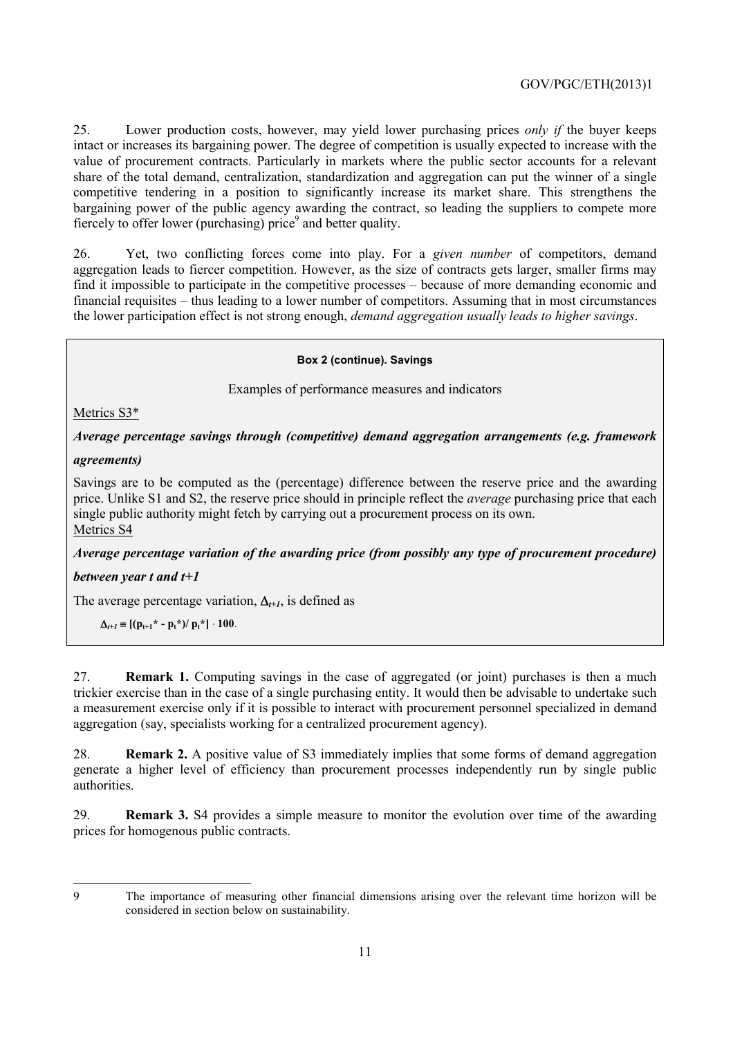25. Lower production costs, however, may yield lower purchasing prices *only if* the buyer keeps intact or increases its bargaining power. The degree of competition is usually expected to increase with the value of procurement contracts. Particularly in markets where the public sector accounts for a relevant share of the total demand, centralization, standardization and aggregation can put the winner of a single competitive tendering in a position to significantly increase its market share. This strengthens the bargaining power of the public agency awarding the contract, so leading the suppliers to compete more fiercely to offer lower (purchasing) price<sup>9</sup> and better quality.

26. Yet, two conflicting forces come into play. For a *given number* of competitors, demand aggregation leads to fiercer competition. However, as the size of contracts gets larger, smaller firms may find it impossible to participate in the competitive processes – because of more demanding economic and financial requisites – thus leading to a lower number of competitors. Assuming that in most circumstances the lower participation effect is not strong enough, *demand aggregation usually leads to higher savings*.

#### **Box 2 (continue). Savings**

Examples of performance measures and indicators

Metrics S3\*

*Average percentage savings through (competitive) demand aggregation arrangements (e.g. framework* 

#### *agreements)*

Savings are to be computed as the (percentage) difference between the reserve price and the awarding price. Unlike S1 and S2, the reserve price should in principle reflect the *average* purchasing price that each single public authority might fetch by carrying out a procurement process on its own. Metrics S4

*Average percentage variation of the awarding price (from possibly any type of procurement procedure)* 

#### *between year t and t+1*

The average percentage variation, ∆*t+1*, is defined as

 $\Delta_{t+1} \equiv [(p_{t+1}^* - p_t^*)/p_t^*] \cdot 100.$ 

27. **Remark 1.** Computing savings in the case of aggregated (or joint) purchases is then a much trickier exercise than in the case of a single purchasing entity. It would then be advisable to undertake such a measurement exercise only if it is possible to interact with procurement personnel specialized in demand aggregation (say, specialists working for a centralized procurement agency).

28. **Remark 2.** A positive value of S3 immediately implies that some forms of demand aggregation generate a higher level of efficiency than procurement processes independently run by single public authorities.

29. **Remark 3.** S4 provides a simple measure to monitor the evolution over time of the awarding prices for homogenous public contracts.

<sup>9</sup> The importance of measuring other financial dimensions arising over the relevant time horizon will be considered in section below on sustainability.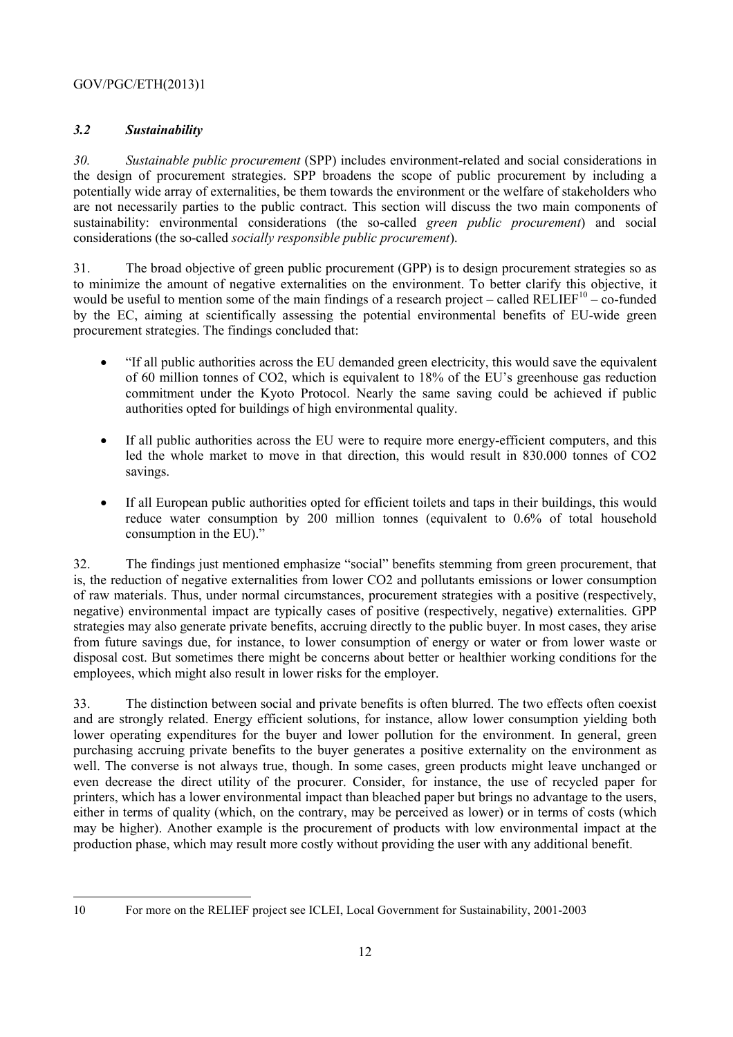#### *3.2 Sustainability*

*30. Sustainable public procurement* (SPP) includes environment-related and social considerations in the design of procurement strategies. SPP broadens the scope of public procurement by including a potentially wide array of externalities, be them towards the environment or the welfare of stakeholders who are not necessarily parties to the public contract. This section will discuss the two main components of sustainability: environmental considerations (the so-called *green public procurement*) and social considerations (the so-called *socially responsible public procurement*).

31. The broad objective of green public procurement (GPP) is to design procurement strategies so as to minimize the amount of negative externalities on the environment. To better clarify this objective, it would be useful to mention some of the main findings of a research project – called RELIEF $10 -$ co-funded by the EC, aiming at scientifically assessing the potential environmental benefits of EU-wide green procurement strategies. The findings concluded that:

- "If all public authorities across the EU demanded green electricity, this would save the equivalent of 60 million tonnes of CO2, which is equivalent to 18% of the EU's greenhouse gas reduction commitment under the Kyoto Protocol. Nearly the same saving could be achieved if public authorities opted for buildings of high environmental quality.
- If all public authorities across the EU were to require more energy-efficient computers, and this led the whole market to move in that direction, this would result in 830.000 tonnes of CO2 savings.
- If all European public authorities opted for efficient toilets and taps in their buildings, this would reduce water consumption by 200 million tonnes (equivalent to 0.6% of total household consumption in the EU)."

32. The findings just mentioned emphasize "social" benefits stemming from green procurement, that is, the reduction of negative externalities from lower CO2 and pollutants emissions or lower consumption of raw materials. Thus, under normal circumstances, procurement strategies with a positive (respectively, negative) environmental impact are typically cases of positive (respectively, negative) externalities. GPP strategies may also generate private benefits, accruing directly to the public buyer. In most cases, they arise from future savings due, for instance, to lower consumption of energy or water or from lower waste or disposal cost. But sometimes there might be concerns about better or healthier working conditions for the employees, which might also result in lower risks for the employer.

33. The distinction between social and private benefits is often blurred. The two effects often coexist and are strongly related. Energy efficient solutions, for instance, allow lower consumption yielding both lower operating expenditures for the buyer and lower pollution for the environment. In general, green purchasing accruing private benefits to the buyer generates a positive externality on the environment as well. The converse is not always true, though. In some cases, green products might leave unchanged or even decrease the direct utility of the procurer. Consider, for instance, the use of recycled paper for printers, which has a lower environmental impact than bleached paper but brings no advantage to the users, either in terms of quality (which, on the contrary, may be perceived as lower) or in terms of costs (which may be higher). Another example is the procurement of products with low environmental impact at the production phase, which may result more costly without providing the user with any additional benefit.

<sup>10</sup> For more on the RELIEF project see ICLEI, Local Government for Sustainability, 2001-2003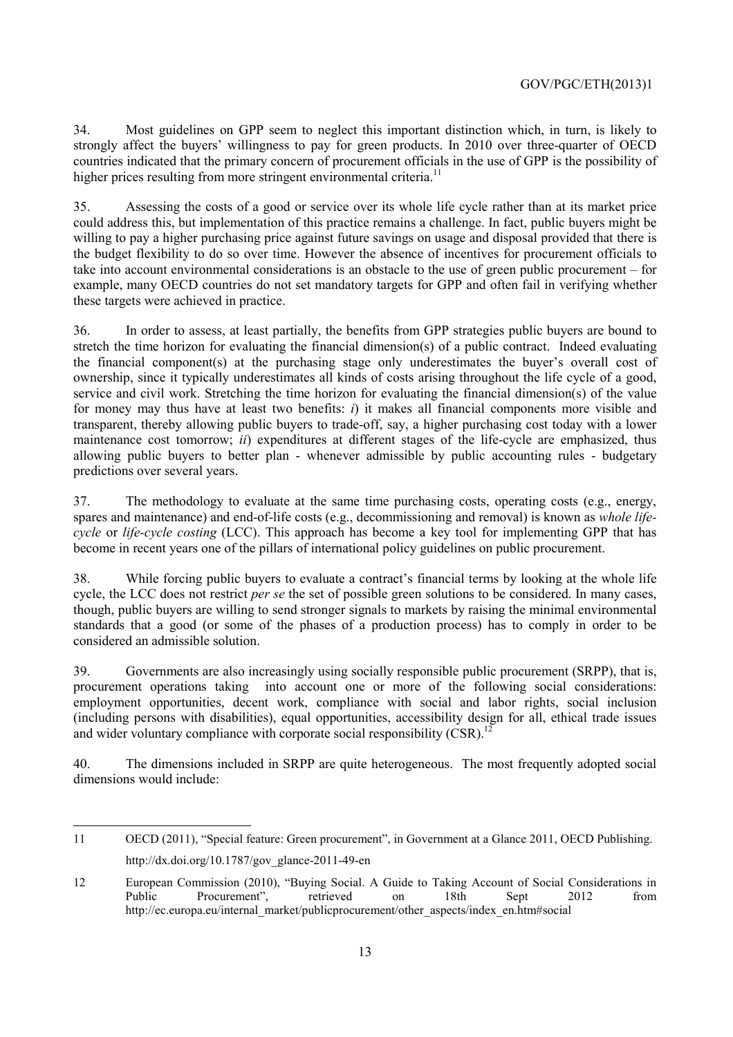34. Most guidelines on GPP seem to neglect this important distinction which, in turn, is likely to strongly affect the buyers' willingness to pay for green products. In 2010 over three-quarter of OECD countries indicated that the primary concern of procurement officials in the use of GPP is the possibility of higher prices resulting from more stringent environmental criteria.<sup>11</sup>

35. Assessing the costs of a good or service over its whole life cycle rather than at its market price could address this, but implementation of this practice remains a challenge. In fact, public buyers might be willing to pay a higher purchasing price against future savings on usage and disposal provided that there is the budget flexibility to do so over time. However the absence of incentives for procurement officials to take into account environmental considerations is an obstacle to the use of green public procurement – for example, many OECD countries do not set mandatory targets for GPP and often fail in verifying whether these targets were achieved in practice.

36. In order to assess, at least partially, the benefits from GPP strategies public buyers are bound to stretch the time horizon for evaluating the financial dimension(s) of a public contract. Indeed evaluating the financial component(s) at the purchasing stage only underestimates the buyer's overall cost of ownership, since it typically underestimates all kinds of costs arising throughout the life cycle of a good, service and civil work. Stretching the time horizon for evaluating the financial dimension(s) of the value for money may thus have at least two benefits: *i*) it makes all financial components more visible and transparent, thereby allowing public buyers to trade-off, say, a higher purchasing cost today with a lower maintenance cost tomorrow; *ii*) expenditures at different stages of the life-cycle are emphasized, thus allowing public buyers to better plan - whenever admissible by public accounting rules - budgetary predictions over several years.

37. The methodology to evaluate at the same time purchasing costs, operating costs (e.g., energy, spares and maintenance) and end-of-life costs (e.g., decommissioning and removal) is known as *whole lifecycle* or *life-cycle costing* (LCC). This approach has become a key tool for implementing GPP that has become in recent years one of the pillars of international policy guidelines on public procurement.

38. While forcing public buyers to evaluate a contract's financial terms by looking at the whole life cycle, the LCC does not restrict *per se* the set of possible green solutions to be considered. In many cases, though, public buyers are willing to send stronger signals to markets by raising the minimal environmental standards that a good (or some of the phases of a production process) has to comply in order to be considered an admissible solution.

39. Governments are also increasingly using socially responsible public procurement (SRPP), that is, procurement operations taking into account one or more of the following social considerations: employment opportunities, decent work, compliance with social and labor rights, social inclusion (including persons with disabilities), equal opportunities, accessibility design for all, ethical trade issues and wider voluntary compliance with corporate social responsibility  $(CSR)$ <sup>12</sup>

40. The dimensions included in SRPP are quite heterogeneous. The most frequently adopted social dimensions would include:

<sup>11</sup> OECD (2011), "Special feature: Green procurement", in Government at a Glance 2011, OECD Publishing. http://dx.doi.org/10.1787/gov\_glance-2011-49-en

<sup>12</sup> European Commission (2010), "Buying Social. A Guide to Taking Account of Social Considerations in Public Procurement", retrieved on 18th Sept 2012 from http://ec.europa.eu/internal\_market/publicprocurement/other\_aspects/index\_en.htm#social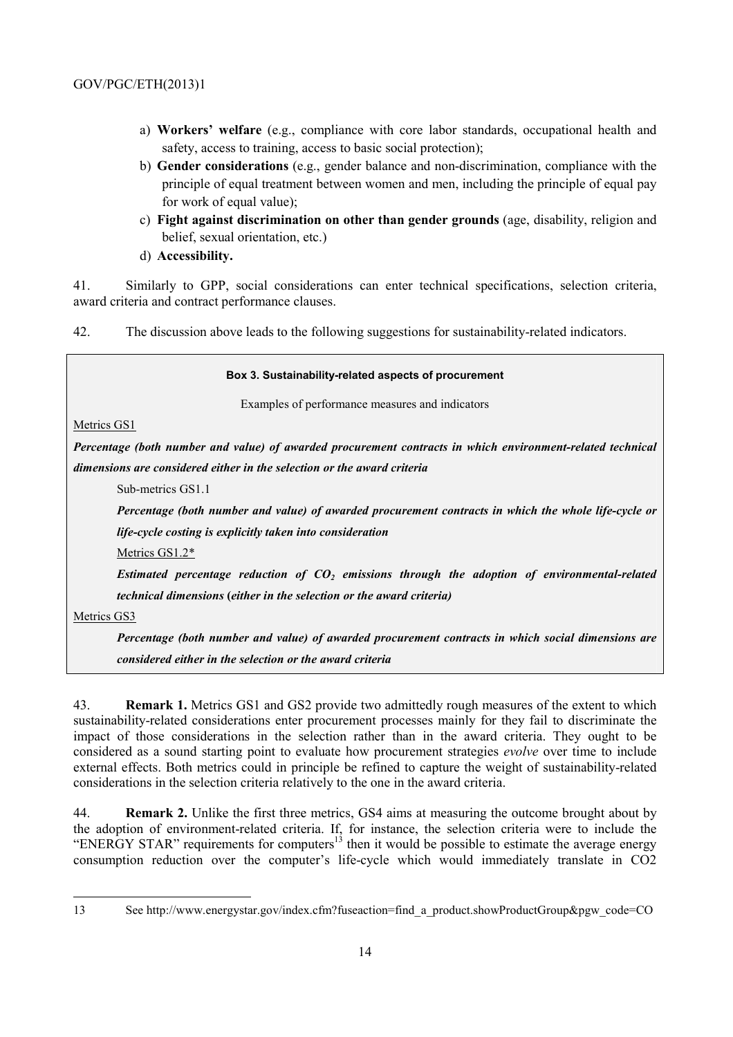- a) **Workers' welfare** (e.g., compliance with core labor standards, occupational health and safety, access to training, access to basic social protection);
- b) **Gender considerations** (e.g., gender balance and non-discrimination, compliance with the principle of equal treatment between women and men, including the principle of equal pay for work of equal value);
- c) **Fight against discrimination on other than gender grounds** (age, disability, religion and belief, sexual orientation, etc.)
- d) **Accessibility.**

41. Similarly to GPP, social considerations can enter technical specifications, selection criteria, award criteria and contract performance clauses.

42. The discussion above leads to the following suggestions for sustainability-related indicators.

#### **Box 3. Sustainability-related aspects of procurement**

Examples of performance measures and indicators

Metrics GS1

*Percentage (both number and value) of awarded procurement contracts in which environment-related technical dimensions are considered either in the selection or the award criteria* 

Sub-metrics GS1.1

*Percentage (both number and value) of awarded procurement contracts in which the whole life-cycle or life-cycle costing is explicitly taken into consideration* 

Metrics GS1.2\*

Estimated percentage reduction of CO<sub>2</sub> emissions through the adoption of environmental-related *technical dimensions* **(***either in the selection or the award criteria)*

Metrics GS3

*Percentage (both number and value) of awarded procurement contracts in which social dimensions are considered either in the selection or the award criteria*

43. **Remark 1.** Metrics GS1 and GS2 provide two admittedly rough measures of the extent to which sustainability-related considerations enter procurement processes mainly for they fail to discriminate the impact of those considerations in the selection rather than in the award criteria. They ought to be considered as a sound starting point to evaluate how procurement strategies *evolve* over time to include external effects. Both metrics could in principle be refined to capture the weight of sustainability-related considerations in the selection criteria relatively to the one in the award criteria.

44. **Remark 2.** Unlike the first three metrics, GS4 aims at measuring the outcome brought about by the adoption of environment-related criteria. If, for instance, the selection criteria were to include the "ENERGY STAR" requirements for computers<sup>13</sup> then it would be possible to estimate the average energy consumption reduction over the computer's life-cycle which would immediately translate in CO2

<sup>13</sup> See http://www.energystar.gov/index.cfm?fuseaction=find\_a\_product.showProductGroup&pgw\_code=CO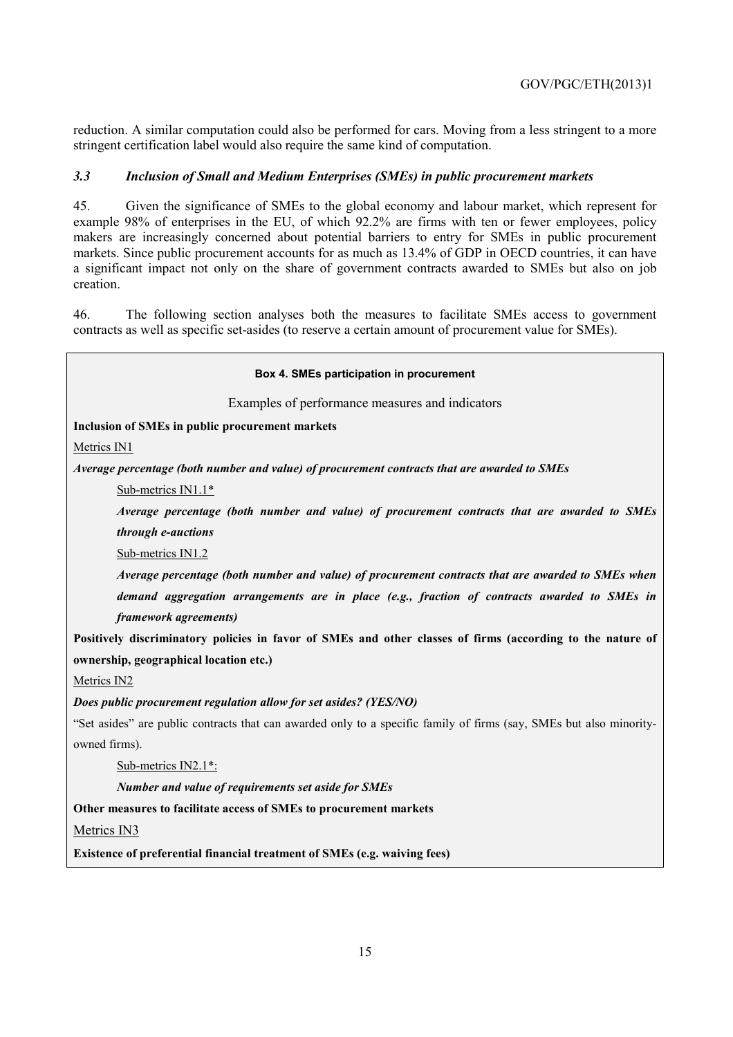reduction. A similar computation could also be performed for cars. Moving from a less stringent to a more stringent certification label would also require the same kind of computation.

#### *3.3 Inclusion of Small and Medium Enterprises (SMEs) in public procurement markets*

45. Given the significance of SMEs to the global economy and labour market, which represent for example 98% of enterprises in the EU, of which 92.2% are firms with ten or fewer employees, policy makers are increasingly concerned about potential barriers to entry for SMEs in public procurement markets. Since public procurement accounts for as much as 13.4% of GDP in OECD countries, it can have a significant impact not only on the share of government contracts awarded to SMEs but also on job creation.

46. The following section analyses both the measures to facilitate SMEs access to government contracts as well as specific set-asides (to reserve a certain amount of procurement value for SMEs).

# **Box 4. SMEs participation in procurement**  Examples of performance measures and indicators **Inclusion of SMEs in public procurement markets**  Metrics IN1 *Average percentage (both number and value) of procurement contracts that are awarded to SMEs*  Sub-metrics IN1.1\* *Average percentage (both number and value) of procurement contracts that are awarded to SMEs through e-auctions*  Sub-metrics IN1.2 *Average percentage (both number and value) of procurement contracts that are awarded to SMEs when demand aggregation arrangements are in place (e.g., fraction of contracts awarded to SMEs in framework agreements)* **Positively discriminatory policies in favor of SMEs and other classes of firms (according to the nature of ownership, geographical location etc.)**  Metrics IN2 *Does public procurement regulation allow for set asides? (YES/NO)* "Set asides" are public contracts that can awarded only to a specific family of firms (say, SMEs but also minorityowned firms). Sub-metrics IN2.1\*: *Number and value of requirements set aside for SMEs*  **Other measures to facilitate access of SMEs to procurement markets**  Metrics IN3 **Existence of preferential financial treatment of SMEs (e.g. waiving fees)**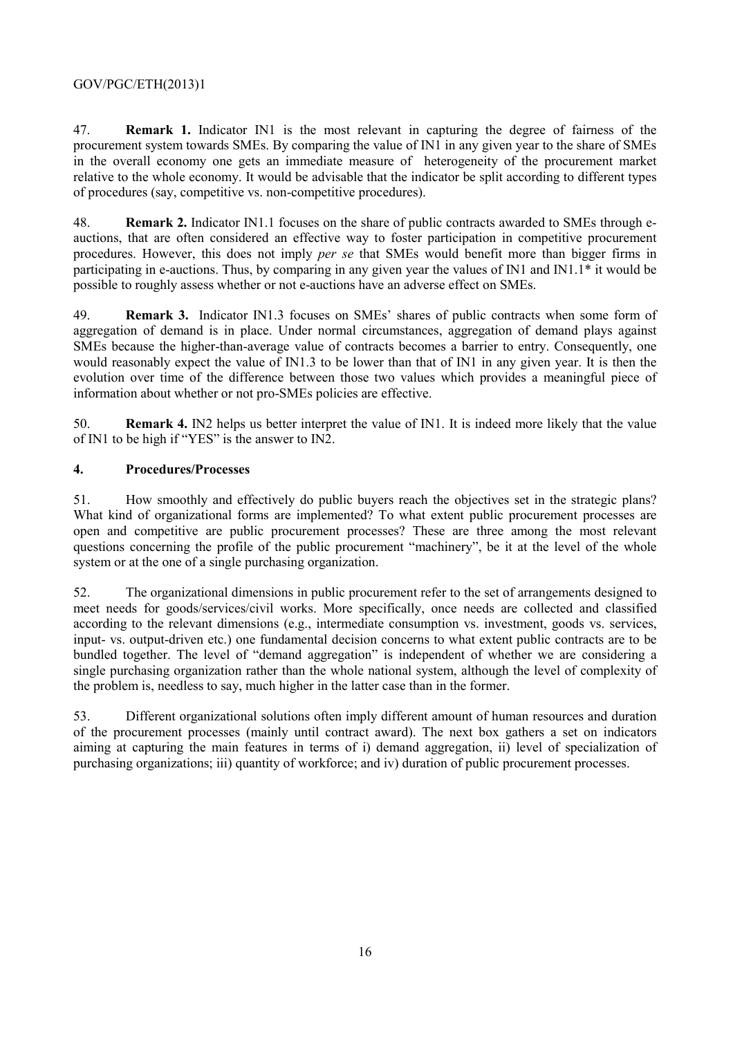47. **Remark 1.** Indicator IN1 is the most relevant in capturing the degree of fairness of the procurement system towards SMEs. By comparing the value of IN1 in any given year to the share of SMEs in the overall economy one gets an immediate measure of heterogeneity of the procurement market relative to the whole economy. It would be advisable that the indicator be split according to different types of procedures (say, competitive vs. non-competitive procedures).

48. **Remark 2.** Indicator IN1.1 focuses on the share of public contracts awarded to SMEs through eauctions, that are often considered an effective way to foster participation in competitive procurement procedures. However, this does not imply *per se* that SMEs would benefit more than bigger firms in participating in e-auctions. Thus, by comparing in any given year the values of IN1 and IN1.1\* it would be possible to roughly assess whether or not e-auctions have an adverse effect on SMEs.

49. **Remark 3.** Indicator IN1.3 focuses on SMEs' shares of public contracts when some form of aggregation of demand is in place. Under normal circumstances, aggregation of demand plays against SMEs because the higher-than-average value of contracts becomes a barrier to entry. Consequently, one would reasonably expect the value of IN1.3 to be lower than that of IN1 in any given year. It is then the evolution over time of the difference between those two values which provides a meaningful piece of information about whether or not pro-SMEs policies are effective.

50. **Remark 4.** IN2 helps us better interpret the value of IN1. It is indeed more likely that the value of IN1 to be high if "YES" is the answer to IN2.

#### **4. Procedures/Processes**

51. How smoothly and effectively do public buyers reach the objectives set in the strategic plans? What kind of organizational forms are implemented? To what extent public procurement processes are open and competitive are public procurement processes? These are three among the most relevant questions concerning the profile of the public procurement "machinery", be it at the level of the whole system or at the one of a single purchasing organization.

52. The organizational dimensions in public procurement refer to the set of arrangements designed to meet needs for goods/services/civil works. More specifically, once needs are collected and classified according to the relevant dimensions (e.g., intermediate consumption vs. investment, goods vs. services, input- vs. output-driven etc.) one fundamental decision concerns to what extent public contracts are to be bundled together. The level of "demand aggregation" is independent of whether we are considering a single purchasing organization rather than the whole national system, although the level of complexity of the problem is, needless to say, much higher in the latter case than in the former.

53. Different organizational solutions often imply different amount of human resources and duration of the procurement processes (mainly until contract award). The next box gathers a set on indicators aiming at capturing the main features in terms of i) demand aggregation, ii) level of specialization of purchasing organizations; iii) quantity of workforce; and iv) duration of public procurement processes.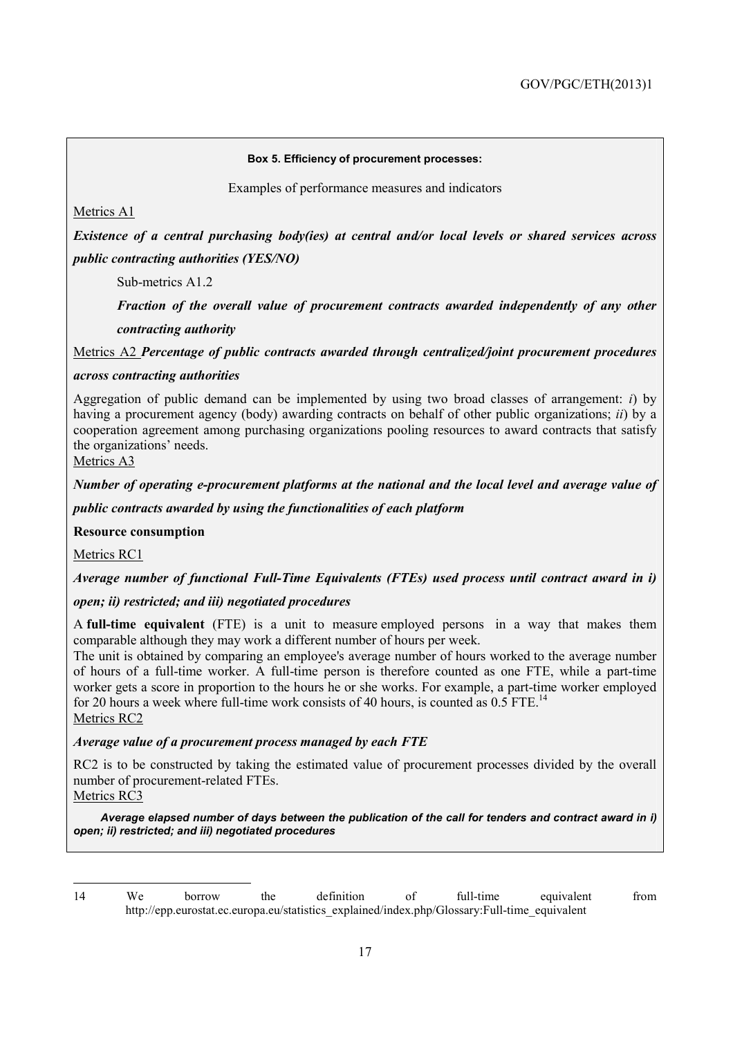#### **Box 5. Efficiency of procurement processes:**

Examples of performance measures and indicators

Metrics A1

*Existence of a central purchasing body(ies) at central and/or local levels or shared services across public contracting authorities (YES/NO)* 

Sub-metrics A1.2

*Fraction of the overall value of procurement contracts awarded independently of any other contracting authority* 

Metrics A2 *Percentage of public contracts awarded through centralized/joint procurement procedures* 

#### *across contracting authorities*

Aggregation of public demand can be implemented by using two broad classes of arrangement: *i*) by having a procurement agency (body) awarding contracts on behalf of other public organizations; *ii*) by a cooperation agreement among purchasing organizations pooling resources to award contracts that satisfy the organizations' needs.

Metrics A3

*Number of operating e-procurement platforms at the national and the local level and average value of* 

*public contracts awarded by using the functionalities of each platform* 

**Resource consumption** 

Metrics RC1

*Average number of functional Full-Time Equivalents (FTEs) used process until contract award in i)* 

#### *open; ii) restricted; and iii) negotiated procedures*

A **full-time equivalent** (FTE) is a unit to measure employed persons in a way that makes them comparable although they may work a different number of hours per week.

The unit is obtained by comparing an employee's average number of hours worked to the average number of hours of a full-time worker. A full-time person is therefore counted as one FTE, while a part-time worker gets a score in proportion to the hours he or she works. For example, a part-time worker employed for 20 hours a week where full-time work consists of 40 hours, is counted as  $0.5$  FTE.<sup>14</sup> Metrics RC2

#### *Average value of a procurement process managed by each FTE*

RC2 is to be constructed by taking the estimated value of procurement processes divided by the overall number of procurement-related FTEs.

Metrics RC3

*Average elapsed number of days between the publication of the call for tenders and contract award in i) open; ii) restricted; and iii) negotiated procedures*

<sup>14</sup> We borrow the definition of full-time equivalent from http://epp.eurostat.ec.europa.eu/statistics\_explained/index.php/Glossary:Full-time\_equivalent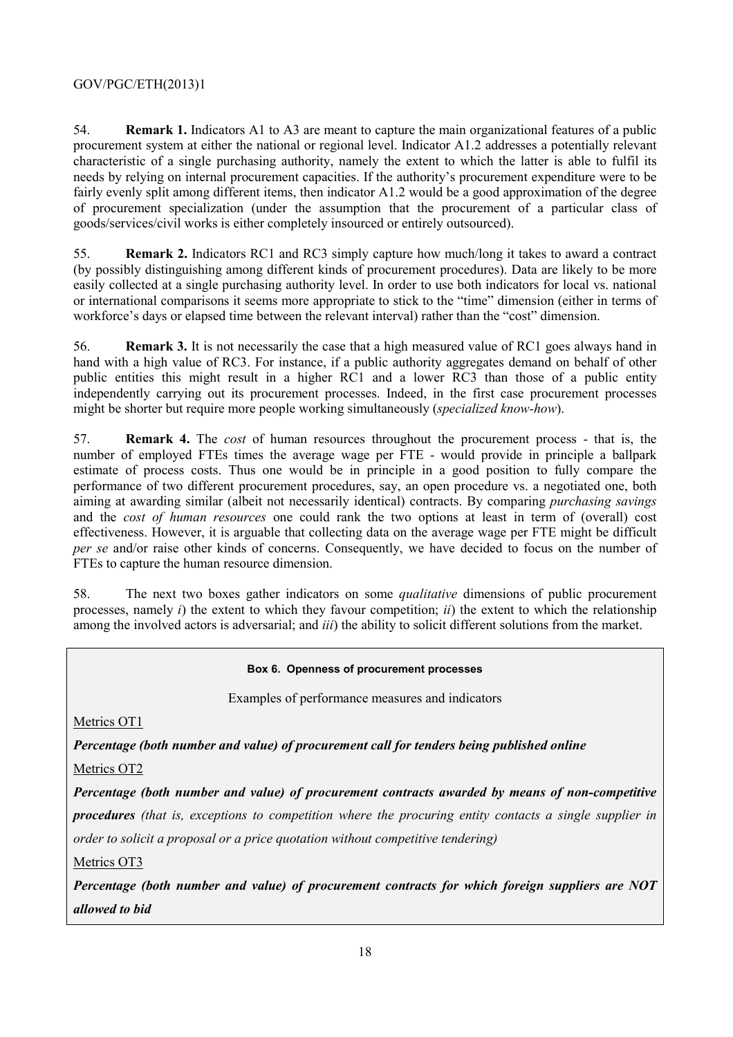54. **Remark 1.** Indicators A1 to A3 are meant to capture the main organizational features of a public procurement system at either the national or regional level. Indicator A1.2 addresses a potentially relevant characteristic of a single purchasing authority, namely the extent to which the latter is able to fulfil its needs by relying on internal procurement capacities. If the authority's procurement expenditure were to be fairly evenly split among different items, then indicator A1.2 would be a good approximation of the degree of procurement specialization (under the assumption that the procurement of a particular class of goods/services/civil works is either completely insourced or entirely outsourced).

55. **Remark 2.** Indicators RC1 and RC3 simply capture how much/long it takes to award a contract (by possibly distinguishing among different kinds of procurement procedures). Data are likely to be more easily collected at a single purchasing authority level. In order to use both indicators for local vs. national or international comparisons it seems more appropriate to stick to the "time" dimension (either in terms of workforce's days or elapsed time between the relevant interval) rather than the "cost" dimension.

56. **Remark 3.** It is not necessarily the case that a high measured value of RC1 goes always hand in hand with a high value of RC3. For instance, if a public authority aggregates demand on behalf of other public entities this might result in a higher RC1 and a lower RC3 than those of a public entity independently carrying out its procurement processes. Indeed, in the first case procurement processes might be shorter but require more people working simultaneously (*specialized know-how*).

57. **Remark 4.** The *cost* of human resources throughout the procurement process - that is, the number of employed FTEs times the average wage per FTE - would provide in principle a ballpark estimate of process costs. Thus one would be in principle in a good position to fully compare the performance of two different procurement procedures, say, an open procedure vs. a negotiated one, both aiming at awarding similar (albeit not necessarily identical) contracts. By comparing *purchasing savings* and the *cost of human resources* one could rank the two options at least in term of (overall) cost effectiveness. However, it is arguable that collecting data on the average wage per FTE might be difficult *per se* and/or raise other kinds of concerns. Consequently, we have decided to focus on the number of FTEs to capture the human resource dimension.

58. The next two boxes gather indicators on some *qualitative* dimensions of public procurement processes, namely *i*) the extent to which they favour competition; *ii*) the extent to which the relationship among the involved actors is adversarial; and *iii*) the ability to solicit different solutions from the market.

#### **Box 6. Openness of procurement processes**

Examples of performance measures and indicators

Metrics OT1

*Percentage (both number and value) of procurement call for tenders being published online* 

Metrics OT2

*Percentage (both number and value) of procurement contracts awarded by means of non-competitive procedures (that is, exceptions to competition where the procuring entity contacts a single supplier in order to solicit a proposal or a price quotation without competitive tendering)*

Metrics OT3

*Percentage (both number and value) of procurement contracts for which foreign suppliers are NOT allowed to bid*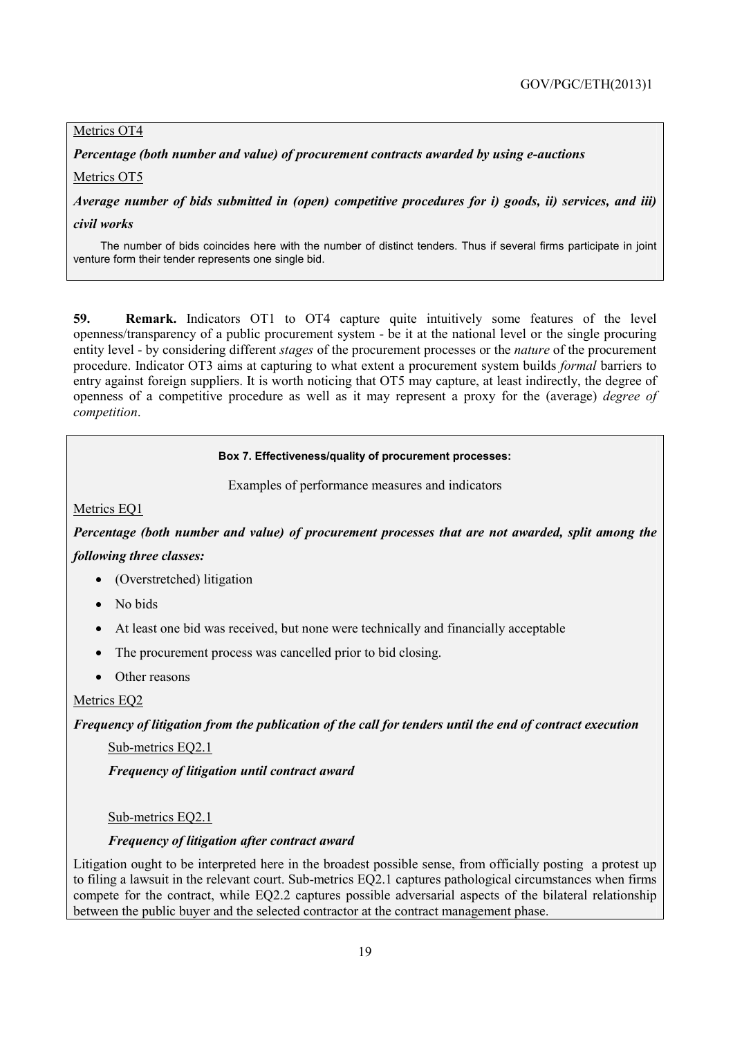#### Metrics OT4

*Percentage (both number and value) of procurement contracts awarded by using e-auctions* 

Metrics OT5

*Average number of bids submitted in (open) competitive procedures for i) goods, ii) services, and iii)* 

*civil works* 

The number of bids coincides here with the number of distinct tenders. Thus if several firms participate in joint venture form their tender represents one single bid.

**59. Remark.** Indicators OT1 to OT4 capture quite intuitively some features of the level openness/transparency of a public procurement system - be it at the national level or the single procuring entity level - by considering different *stages* of the procurement processes or the *nature* of the procurement procedure. Indicator OT3 aims at capturing to what extent a procurement system builds *formal* barriers to entry against foreign suppliers. It is worth noticing that OT5 may capture, at least indirectly, the degree of openness of a competitive procedure as well as it may represent a proxy for the (average) *degree of competition*.

#### **Box 7. Effectiveness/quality of procurement processes:**

Examples of performance measures and indicators

Metrics EQ1

*Percentage (both number and value) of procurement processes that are not awarded, split among the following three classes:* 

- (Overstretched) litigation
- No bids
- At least one bid was received, but none were technically and financially acceptable
- The procurement process was cancelled prior to bid closing.
- Other reasons

#### Metrics EQ2

*Frequency of litigation from the publication of the call for tenders until the end of contract execution* 

Sub-metrics EQ2.1

*Frequency of litigation until contract award* 

Sub-metrics EQ2.1

#### *Frequency of litigation after contract award*

Litigation ought to be interpreted here in the broadest possible sense, from officially posting a protest up to filing a lawsuit in the relevant court. Sub-metrics EQ2.1 captures pathological circumstances when firms compete for the contract, while EQ2.2 captures possible adversarial aspects of the bilateral relationship between the public buyer and the selected contractor at the contract management phase.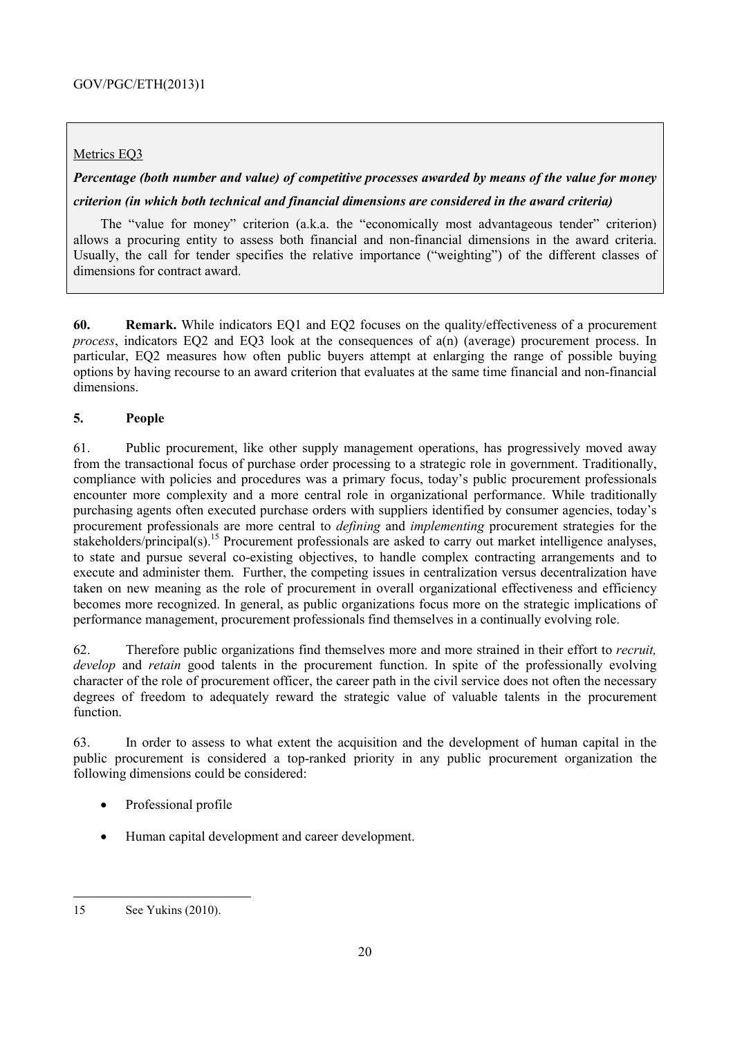#### Metrics EQ3

# *Percentage (both number and value) of competitive processes awarded by means of the value for money*

#### *criterion (in which both technical and financial dimensions are considered in the award criteria)*

The "value for money" criterion (a.k.a. the "economically most advantageous tender" criterion) allows a procuring entity to assess both financial and non-financial dimensions in the award criteria. Usually, the call for tender specifies the relative importance ("weighting") of the different classes of dimensions for contract award.

**60. Remark.** While indicators EQ1 and EQ2 focuses on the quality/effectiveness of a procurement *process*, indicators EQ2 and EQ3 look at the consequences of a(n) (average) procurement process. In particular, EQ2 measures how often public buyers attempt at enlarging the range of possible buying options by having recourse to an award criterion that evaluates at the same time financial and non-financial dimensions.

#### **5. People**

61. Public procurement, like other supply management operations, has progressively moved away from the transactional focus of purchase order processing to a strategic role in government. Traditionally, compliance with policies and procedures was a primary focus, today's public procurement professionals encounter more complexity and a more central role in organizational performance. While traditionally purchasing agents often executed purchase orders with suppliers identified by consumer agencies, today's procurement professionals are more central to *defining* and *implementing* procurement strategies for the stakeholders/principal(s).<sup>15</sup> Procurement professionals are asked to carry out market intelligence analyses, to state and pursue several co-existing objectives, to handle complex contracting arrangements and to execute and administer them. Further, the competing issues in centralization versus decentralization have taken on new meaning as the role of procurement in overall organizational effectiveness and efficiency becomes more recognized. In general, as public organizations focus more on the strategic implications of performance management, procurement professionals find themselves in a continually evolving role.

62. Therefore public organizations find themselves more and more strained in their effort to *recruit, develop* and *retain* good talents in the procurement function. In spite of the professionally evolving character of the role of procurement officer, the career path in the civil service does not often the necessary degrees of freedom to adequately reward the strategic value of valuable talents in the procurement function.

63. In order to assess to what extent the acquisition and the development of human capital in the public procurement is considered a top-ranked priority in any public procurement organization the following dimensions could be considered:

- Professional profile
- Human capital development and career development.

 15 See Yukins (2010).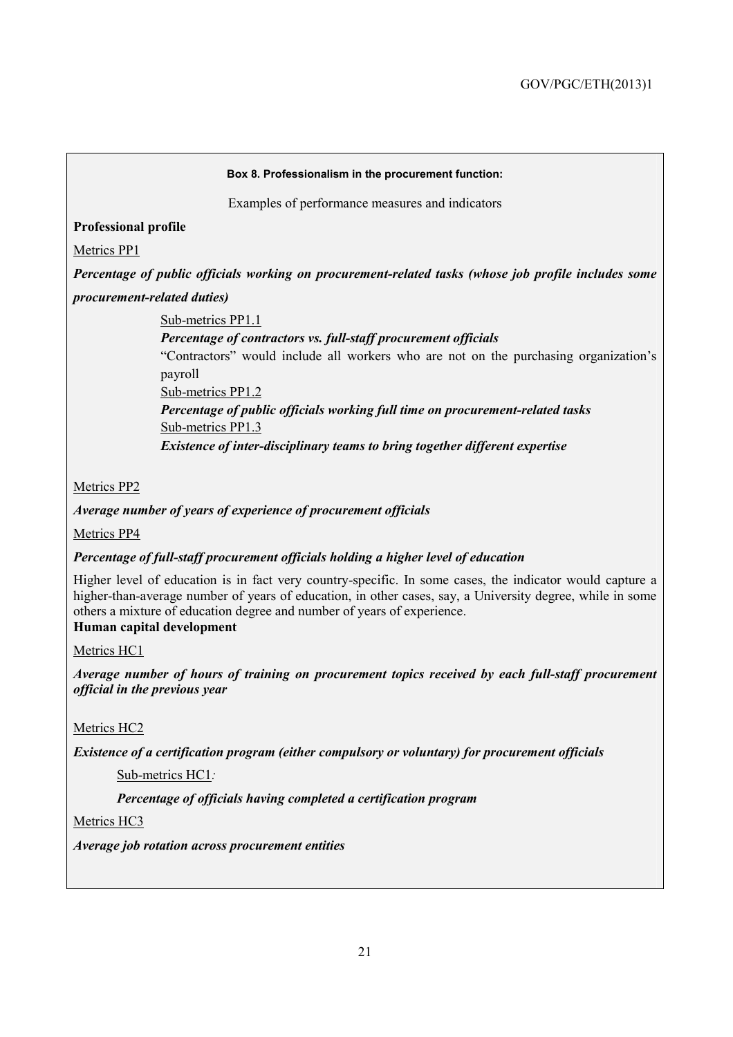#### **Box 8. Professionalism in the procurement function:**

Examples of performance measures and indicators

#### **Professional profile**

Metrics PP1

*Percentage of public officials working on procurement-related tasks (whose job profile includes some procurement-related duties)*

Sub-metrics PP1.1

*Percentage of contractors vs. full-staff procurement officials* 

"Contractors" would include all workers who are not on the purchasing organization's payroll

Sub-metrics PP1.2

*Percentage of public officials working full time on procurement-related tasks*  Sub-metrics PP1.3

*Existence of inter-disciplinary teams to bring together different expertise* 

Metrics PP2

*Average number of years of experience of procurement officials* 

Metrics PP4

#### *Percentage of full-staff procurement officials holding a higher level of education*

Higher level of education is in fact very country-specific. In some cases, the indicator would capture a higher-than-average number of years of education, in other cases, say, a University degree, while in some others a mixture of education degree and number of years of experience. **Human capital development** 

Metrics HC1

*Average number of hours of training on procurement topics received by each full-staff procurement official in the previous year* 

Metrics HC2

*Existence of a certification program (either compulsory or voluntary) for procurement officials* 

Sub-metrics HC1*:* 

*Percentage of officials having completed a certification program* 

Metrics HC3

*Average job rotation across procurement entities*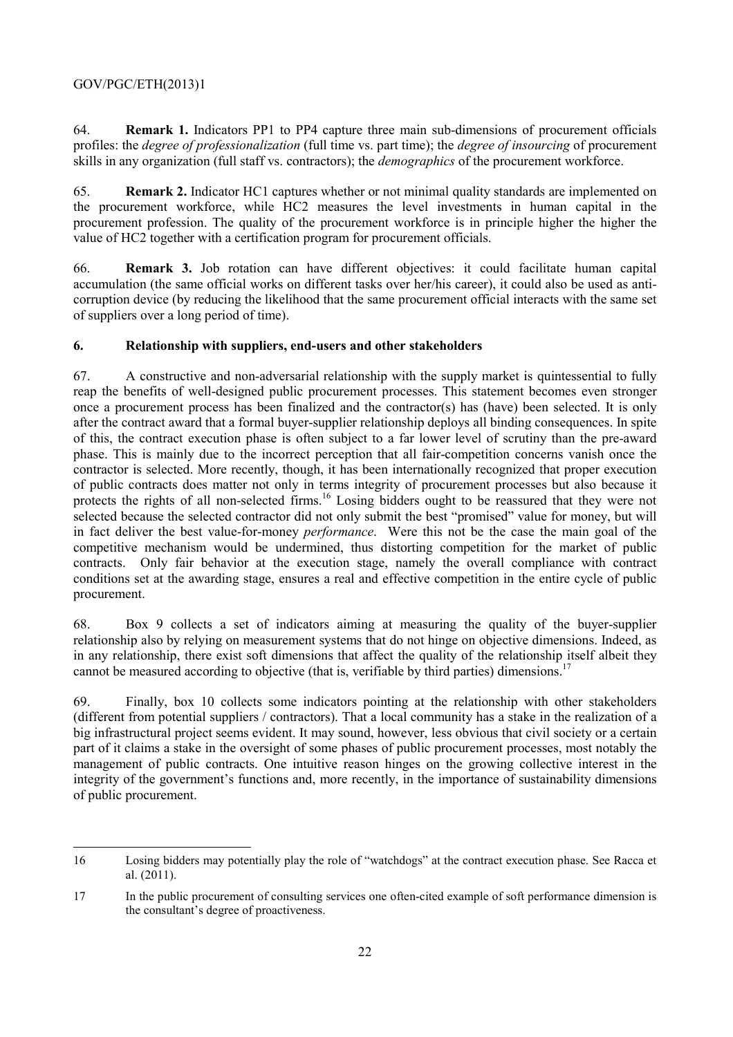64. **Remark 1.** Indicators PP1 to PP4 capture three main sub-dimensions of procurement officials profiles: the *degree of professionalization* (full time vs. part time); the *degree of insourcing* of procurement skills in any organization (full staff vs. contractors); the *demographics* of the procurement workforce.

65. **Remark 2.** Indicator HC1 captures whether or not minimal quality standards are implemented on the procurement workforce, while HC2 measures the level investments in human capital in the procurement profession. The quality of the procurement workforce is in principle higher the higher the value of HC2 together with a certification program for procurement officials.

66. **Remark 3.** Job rotation can have different objectives: it could facilitate human capital accumulation (the same official works on different tasks over her/his career), it could also be used as anticorruption device (by reducing the likelihood that the same procurement official interacts with the same set of suppliers over a long period of time).

#### **6. Relationship with suppliers, end-users and other stakeholders**

67. A constructive and non-adversarial relationship with the supply market is quintessential to fully reap the benefits of well-designed public procurement processes. This statement becomes even stronger once a procurement process has been finalized and the contractor(s) has (have) been selected. It is only after the contract award that a formal buyer-supplier relationship deploys all binding consequences. In spite of this, the contract execution phase is often subject to a far lower level of scrutiny than the pre-award phase. This is mainly due to the incorrect perception that all fair-competition concerns vanish once the contractor is selected. More recently, though, it has been internationally recognized that proper execution of public contracts does matter not only in terms integrity of procurement processes but also because it protects the rights of all non-selected firms.<sup>16</sup> Losing bidders ought to be reassured that they were not selected because the selected contractor did not only submit the best "promised" value for money, but will in fact deliver the best value-for-money *performance*. Were this not be the case the main goal of the competitive mechanism would be undermined, thus distorting competition for the market of public contracts. Only fair behavior at the execution stage, namely the overall compliance with contract conditions set at the awarding stage, ensures a real and effective competition in the entire cycle of public procurement.

68. Box 9 collects a set of indicators aiming at measuring the quality of the buyer-supplier relationship also by relying on measurement systems that do not hinge on objective dimensions. Indeed, as in any relationship, there exist soft dimensions that affect the quality of the relationship itself albeit they cannot be measured according to objective (that is, verifiable by third parties) dimensions.<sup>17</sup>

69. Finally, box 10 collects some indicators pointing at the relationship with other stakeholders (different from potential suppliers / contractors). That a local community has a stake in the realization of a big infrastructural project seems evident. It may sound, however, less obvious that civil society or a certain part of it claims a stake in the oversight of some phases of public procurement processes, most notably the management of public contracts. One intuitive reason hinges on the growing collective interest in the integrity of the government's functions and, more recently, in the importance of sustainability dimensions of public procurement.

<sup>16</sup> Losing bidders may potentially play the role of "watchdogs" at the contract execution phase. See Racca et al. (2011).

<sup>17</sup> In the public procurement of consulting services one often-cited example of soft performance dimension is the consultant's degree of proactiveness.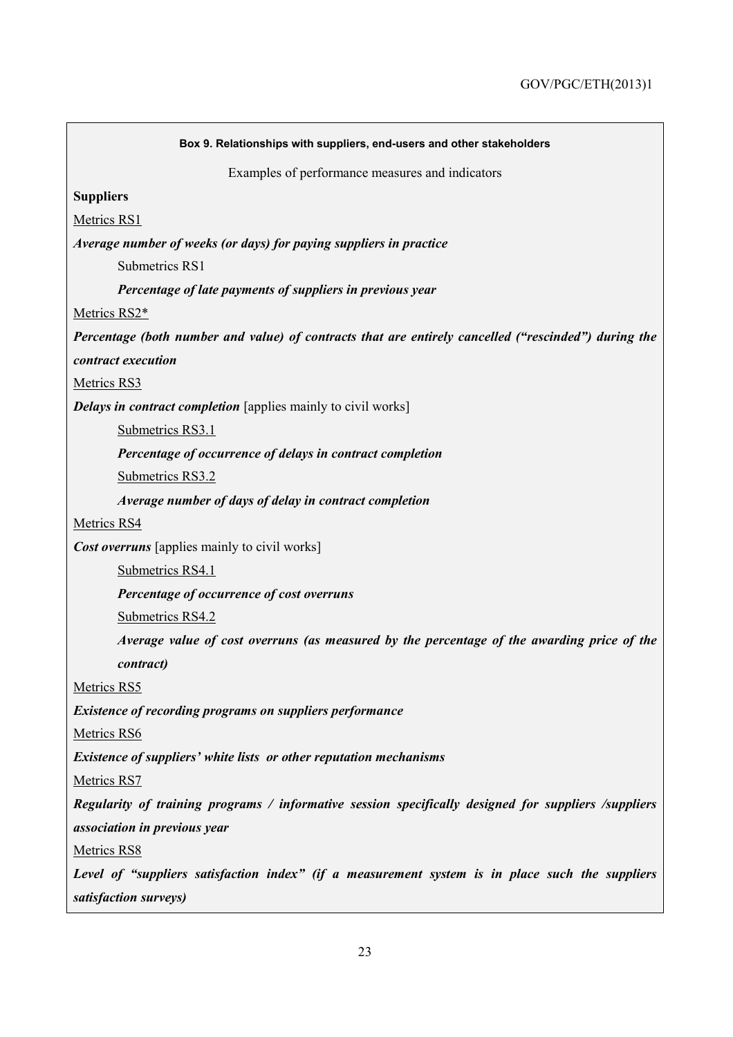| Box 9. Relationships with suppliers, end-users and other stakeholders                                |
|------------------------------------------------------------------------------------------------------|
| Examples of performance measures and indicators                                                      |
| <b>Suppliers</b>                                                                                     |
| Metrics RS1                                                                                          |
| Average number of weeks (or days) for paying suppliers in practice                                   |
| Submetrics RS1                                                                                       |
| Percentage of late payments of suppliers in previous year                                            |
| Metrics RS2*                                                                                         |
| Percentage (both number and value) of contracts that are entirely cancelled ("rescinded") during the |
| contract execution                                                                                   |
| Metrics RS3                                                                                          |
| <b>Delays in contract completion</b> [applies mainly to civil works]                                 |
| Submetrics RS3.1                                                                                     |
| Percentage of occurrence of delays in contract completion                                            |
| Submetrics RS3.2                                                                                     |
| Average number of days of delay in contract completion                                               |
| Metrics RS4                                                                                          |
| <b>Cost overruns</b> [applies mainly to civil works]                                                 |
| Submetrics RS4.1                                                                                     |
| Percentage of occurrence of cost overruns                                                            |
| Submetrics RS4.2                                                                                     |
| Average value of cost overruns (as measured by the percentage of the awarding price of the           |
| contract)                                                                                            |
| Metrics RS5                                                                                          |
| <b>Existence of recording programs on suppliers performance</b>                                      |
| Metrics RS6                                                                                          |
| Existence of suppliers' white lists or other reputation mechanisms                                   |
| Metrics RS7                                                                                          |
| Regularity of training programs / informative session specifically designed for suppliers /suppliers |
| association in previous year                                                                         |
| Metrics RS8                                                                                          |
| Level of "suppliers satisfaction index" (if a measurement system is in place such the suppliers      |
| satisfaction surveys)                                                                                |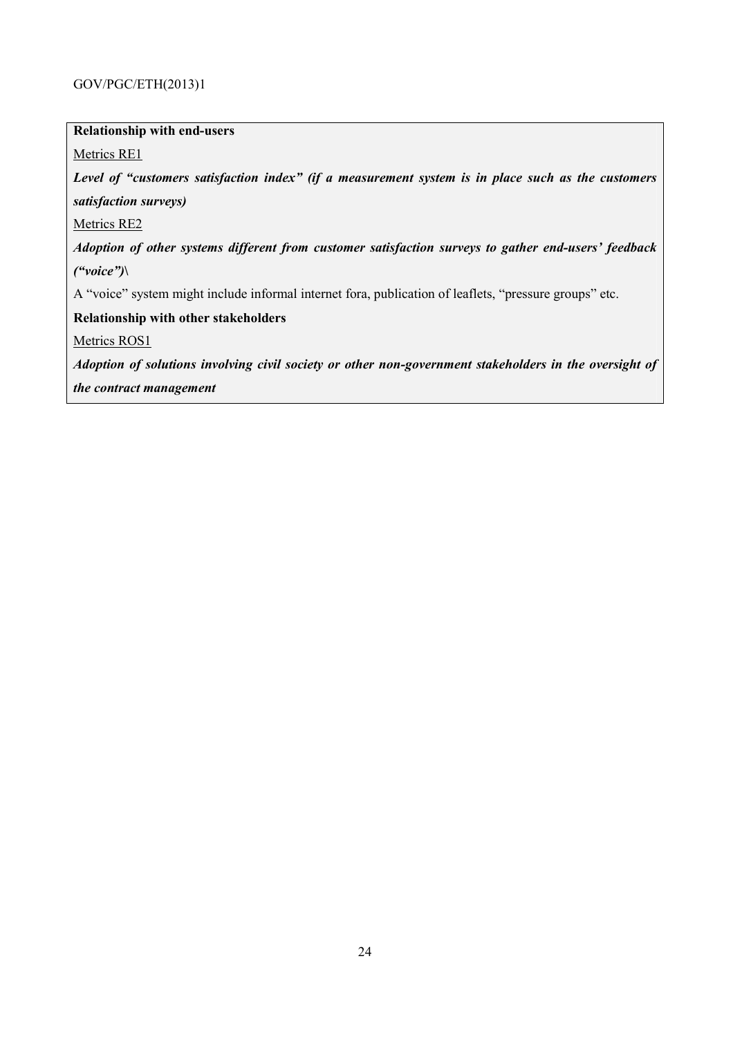#### **Relationship with end-users**

Metrics RE1

*Level of "customers satisfaction index" (if a measurement system is in place such as the customers satisfaction surveys)*

Metrics RE2

*Adoption of other systems different from customer satisfaction surveys to gather end-users' feedback ("voice")***\** 

A "voice" system might include informal internet fora, publication of leaflets, "pressure groups" etc.

**Relationship with other stakeholders** 

Metrics ROS1

*Adoption of solutions involving civil society or other non-government stakeholders in the oversight of the contract management*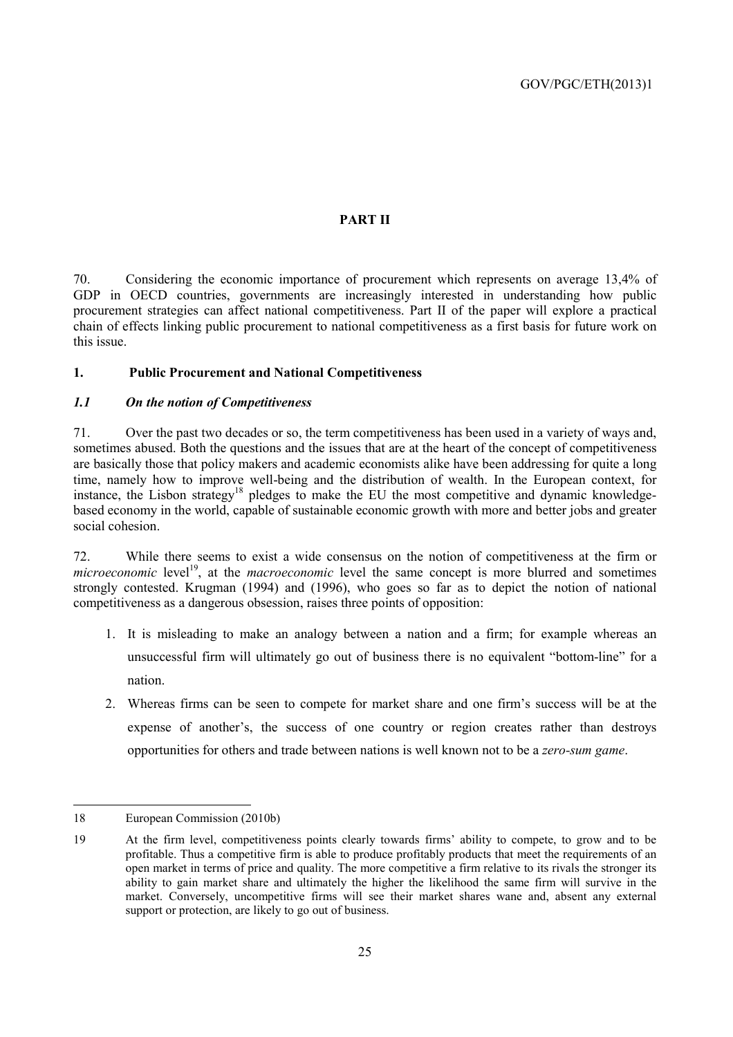#### **PART II**

70. Considering the economic importance of procurement which represents on average 13,4% of GDP in OECD countries, governments are increasingly interested in understanding how public procurement strategies can affect national competitiveness. Part II of the paper will explore a practical chain of effects linking public procurement to national competitiveness as a first basis for future work on this issue.

#### **1. Public Procurement and National Competitiveness**

#### *1.1 On the notion of Competitiveness*

71. Over the past two decades or so, the term competitiveness has been used in a variety of ways and, sometimes abused. Both the questions and the issues that are at the heart of the concept of competitiveness are basically those that policy makers and academic economists alike have been addressing for quite a long time, namely how to improve well-being and the distribution of wealth. In the European context, for instance, the Lisbon strategy<sup>18</sup> pledges to make the EU the most competitive and dynamic knowledgebased economy in the world, capable of sustainable economic growth with more and better jobs and greater social cohesion.

72. While there seems to exist a wide consensus on the notion of competitiveness at the firm or *microeconomic* level<sup>19</sup>, at the *macroeconomic* level the same concept is more blurred and sometimes strongly contested. Krugman (1994) and (1996), who goes so far as to depict the notion of national competitiveness as a dangerous obsession, raises three points of opposition:

- 1. It is misleading to make an analogy between a nation and a firm; for example whereas an unsuccessful firm will ultimately go out of business there is no equivalent "bottom-line" for a nation.
- 2. Whereas firms can be seen to compete for market share and one firm's success will be at the expense of another's, the success of one country or region creates rather than destroys opportunities for others and trade between nations is well known not to be a *zero-sum game*.

<sup>18</sup> European Commission (2010b)

<sup>19</sup> At the firm level, competitiveness points clearly towards firms' ability to compete, to grow and to be profitable. Thus a competitive firm is able to produce profitably products that meet the requirements of an open market in terms of price and quality. The more competitive a firm relative to its rivals the stronger its ability to gain market share and ultimately the higher the likelihood the same firm will survive in the market. Conversely, uncompetitive firms will see their market shares wane and, absent any external support or protection, are likely to go out of business.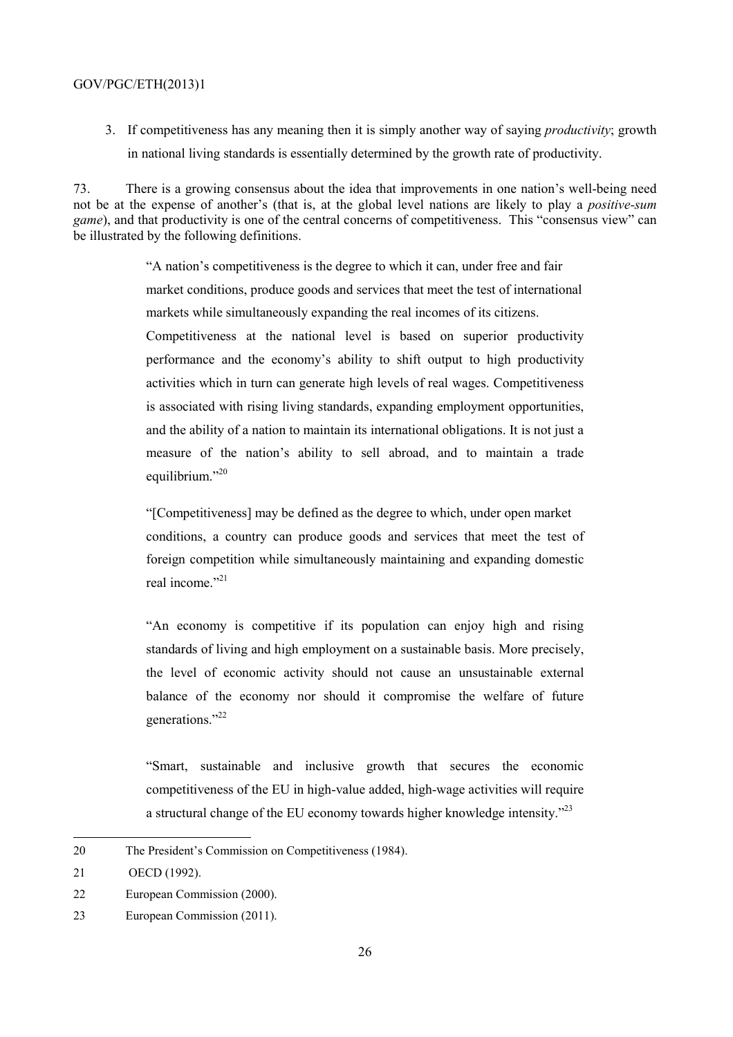3. If competitiveness has any meaning then it is simply another way of saying *productivity*; growth in national living standards is essentially determined by the growth rate of productivity.

73. There is a growing consensus about the idea that improvements in one nation's well-being need not be at the expense of another's (that is, at the global level nations are likely to play a *positive-sum game*), and that productivity is one of the central concerns of competitiveness. This "consensus view" can be illustrated by the following definitions.

> "A nation's competitiveness is the degree to which it can, under free and fair market conditions, produce goods and services that meet the test of international markets while simultaneously expanding the real incomes of its citizens.

> Competitiveness at the national level is based on superior productivity performance and the economy's ability to shift output to high productivity activities which in turn can generate high levels of real wages. Competitiveness is associated with rising living standards, expanding employment opportunities, and the ability of a nation to maintain its international obligations. It is not just a measure of the nation's ability to sell abroad, and to maintain a trade equilibrium."<sup>20</sup>

> "[Competitiveness] may be defined as the degree to which, under open market conditions, a country can produce goods and services that meet the test of foreign competition while simultaneously maintaining and expanding domestic real income."<sup>21</sup>

> "An economy is competitive if its population can enjoy high and rising standards of living and high employment on a sustainable basis. More precisely, the level of economic activity should not cause an unsustainable external balance of the economy nor should it compromise the welfare of future generations."<sup>22</sup>

> "Smart, sustainable and inclusive growth that secures the economic competitiveness of the EU in high-value added, high-wage activities will require a structural change of the EU economy towards higher knowledge intensity."<sup>23</sup>

<sup>20</sup> The President's Commission on Competitiveness (1984).

<sup>21</sup> OECD (1992).

<sup>22</sup> European Commission (2000).

<sup>23</sup> European Commission (2011).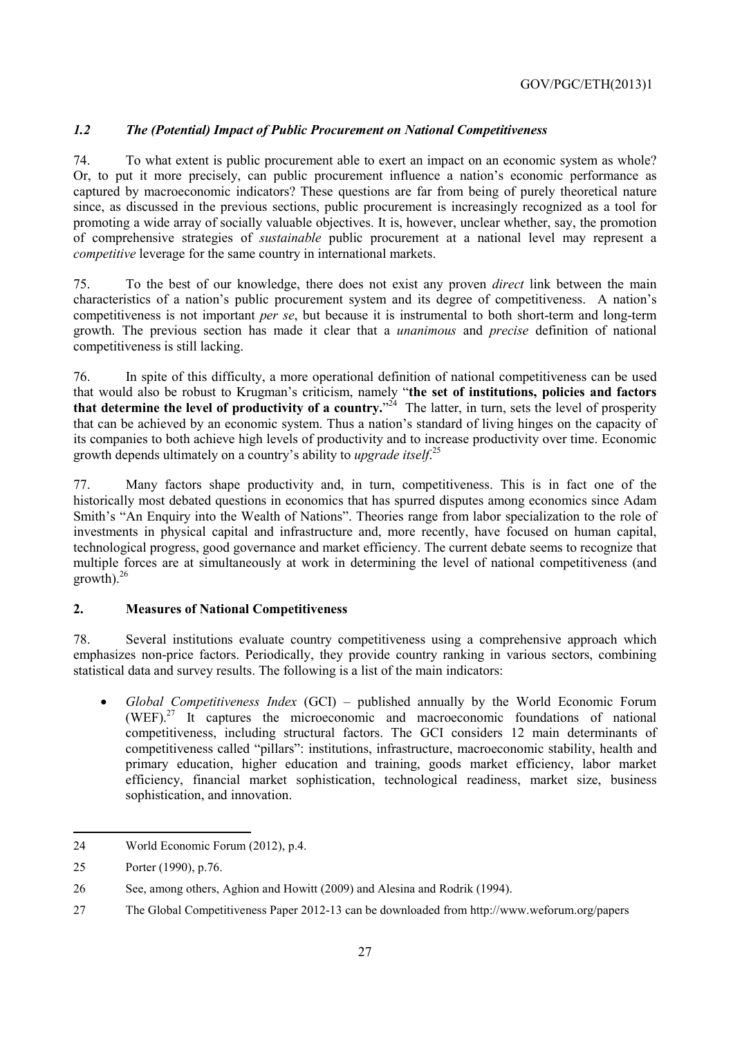#### *1.2 The (Potential) Impact of Public Procurement on National Competitiveness*

74. To what extent is public procurement able to exert an impact on an economic system as whole? Or, to put it more precisely, can public procurement influence a nation's economic performance as captured by macroeconomic indicators? These questions are far from being of purely theoretical nature since, as discussed in the previous sections, public procurement is increasingly recognized as a tool for promoting a wide array of socially valuable objectives. It is, however, unclear whether, say, the promotion of comprehensive strategies of *sustainable* public procurement at a national level may represent a *competitive* leverage for the same country in international markets.

75. To the best of our knowledge, there does not exist any proven *direct* link between the main characteristics of a nation's public procurement system and its degree of competitiveness. A nation's competitiveness is not important *per se*, but because it is instrumental to both short-term and long-term growth. The previous section has made it clear that a *unanimous* and *precise* definition of national competitiveness is still lacking.

76. In spite of this difficulty, a more operational definition of national competitiveness can be used that would also be robust to Krugman's criticism, namely "**the set of institutions, policies and factors**  that determine the level of productivity of a country.<sup>324</sup> The latter, in turn, sets the level of prosperity that can be achieved by an economic system. Thus a nation's standard of living hinges on the capacity of its companies to both achieve high levels of productivity and to increase productivity over time. Economic growth depends ultimately on a country's ability to *upgrade itself*. 25

77. Many factors shape productivity and, in turn, competitiveness. This is in fact one of the historically most debated questions in economics that has spurred disputes among economics since Adam Smith's "An Enquiry into the Wealth of Nations". Theories range from labor specialization to the role of investments in physical capital and infrastructure and, more recently, have focused on human capital, technological progress, good governance and market efficiency. The current debate seems to recognize that multiple forces are at simultaneously at work in determining the level of national competitiveness (and  $growth)<sup>26</sup>$ 

#### **2. Measures of National Competitiveness**

78. Several institutions evaluate country competitiveness using a comprehensive approach which emphasizes non-price factors. Periodically, they provide country ranking in various sectors, combining statistical data and survey results. The following is a list of the main indicators:

• *Global Competitiveness Index* (GCI) – published annually by the World Economic Forum (WEF).27 It captures the microeconomic and macroeconomic foundations of national competitiveness, including structural factors. The GCI considers 12 main determinants of competitiveness called "pillars": institutions, infrastructure, macroeconomic stability, health and primary education, higher education and training, goods market efficiency, labor market efficiency, financial market sophistication, technological readiness, market size, business sophistication, and innovation.

 24 World Economic Forum (2012), p.4.

<sup>25</sup> Porter (1990), p.76.

<sup>26</sup> See, among others, Aghion and Howitt (2009) and Alesina and Rodrik (1994).

<sup>27</sup> The Global Competitiveness Paper 2012-13 can be downloaded from http://www.weforum.org/papers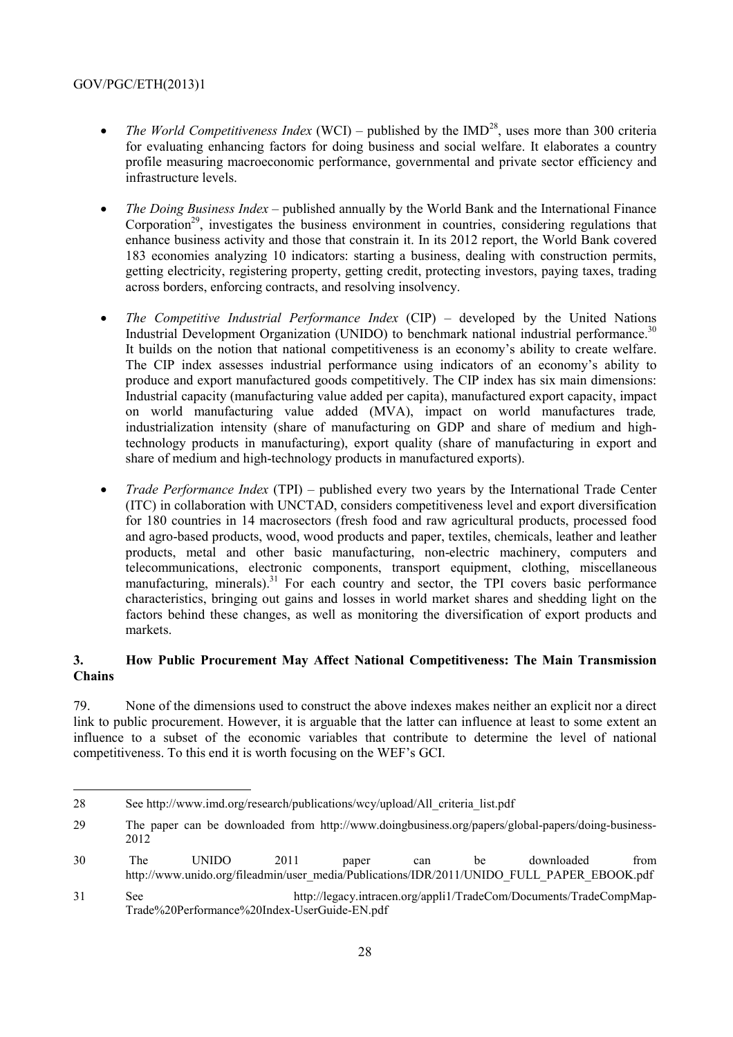- *The World Competitiveness Index* (WCI) published by the  $IMD<sup>28</sup>$ , uses more than 300 criteria for evaluating enhancing factors for doing business and social welfare. It elaborates a country profile measuring macroeconomic performance, governmental and private sector efficiency and infrastructure levels.
- *The Doing Business Index* published annually by the World Bank and the International Finance Corporation<sup>29</sup>, investigates the business environment in countries, considering regulations that enhance business activity and those that constrain it. In its 2012 report, the World Bank covered 183 economies analyzing 10 indicators: starting a business, dealing with construction permits, getting electricity, registering property, getting credit, protecting investors, paying taxes, trading across borders, enforcing contracts, and resolving insolvency.
- *The Competitive Industrial Performance Index* (CIP) developed by the United Nations Industrial Development Organization (UNIDO) to benchmark national industrial performance.<sup>30</sup> It builds on the notion that national competitiveness is an economy's ability to create welfare. The CIP index assesses industrial performance using indicators of an economy's ability to produce and export manufactured goods competitively. The CIP index has six main dimensions: Industrial capacity (manufacturing value added per capita), manufactured export capacity, impact on world manufacturing value added (MVA), impact on world manufactures trade*,*  industrialization intensity (share of manufacturing on GDP and share of medium and hightechnology products in manufacturing), export quality (share of manufacturing in export and share of medium and high-technology products in manufactured exports).
- *Trade Performance Index* (TPI) published every two years by the International Trade Center (ITC) in collaboration with UNCTAD, considers competitiveness level and export diversification for 180 countries in 14 macrosectors (fresh food and raw agricultural products, processed food and agro-based products, wood, wood products and paper, textiles, chemicals, leather and leather products, metal and other basic manufacturing, non-electric machinery, computers and telecommunications, electronic components, transport equipment, clothing, miscellaneous manufacturing, minerals).<sup>31</sup> For each country and sector, the TPI covers basic performance characteristics, bringing out gains and losses in world market shares and shedding light on the factors behind these changes, as well as monitoring the diversification of export products and markets.

#### **3. How Public Procurement May Affect National Competitiveness: The Main Transmission Chains**

79. None of the dimensions used to construct the above indexes makes neither an explicit nor a direct link to public procurement. However, it is arguable that the latter can influence at least to some extent an influence to a subset of the economic variables that contribute to determine the level of national competitiveness. To this end it is worth focusing on the WEF's GCI.

<sup>28</sup> See http://www.imd.org/research/publications/wcy/upload/All\_criteria\_list.pdf

<sup>29</sup> The paper can be downloaded from http://www.doingbusiness.org/papers/global-papers/doing-business-2012

<sup>30</sup> The UNIDO 2011 paper can be downloaded from http://www.unido.org/fileadmin/user\_media/Publications/IDR/2011/UNIDO\_FULL\_PAPER\_EBOOK.pdf

<sup>31</sup> See http://legacy.intracen.org/appli1/TradeCom/Documents/TradeCompMap-Trade%20Performance%20Index-UserGuide-EN.pdf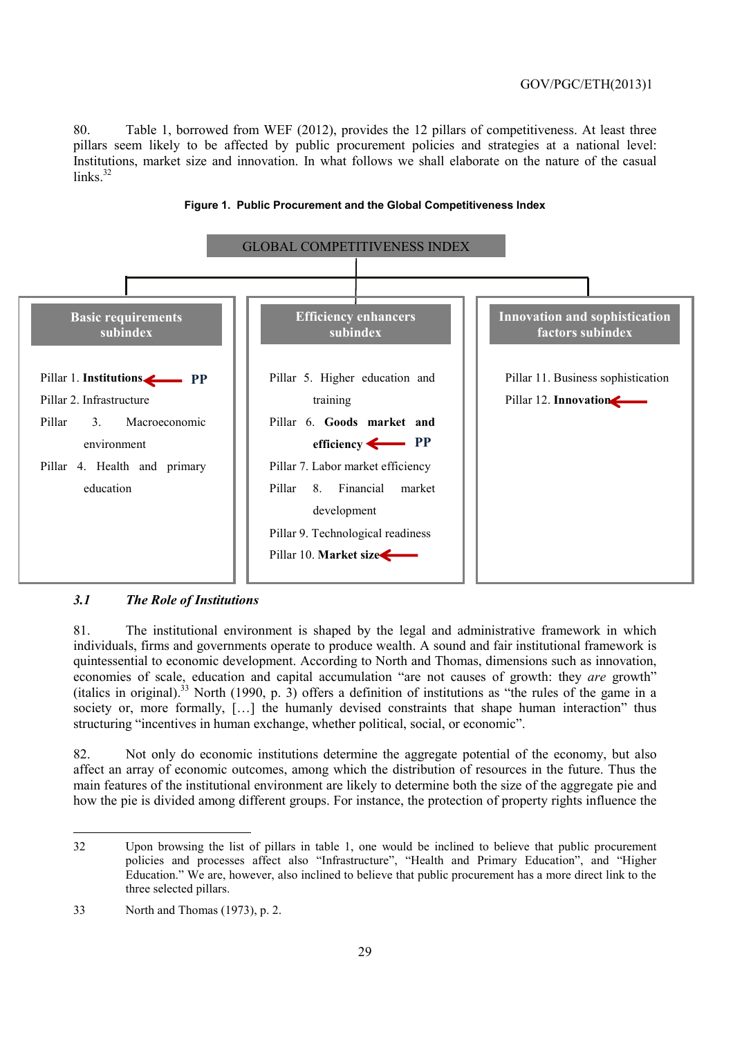80. Table 1, borrowed from WEF (2012), provides the 12 pillars of competitiveness. At least three pillars seem likely to be affected by public procurement policies and strategies at a national level: Institutions, market size and innovation. In what follows we shall elaborate on the nature of the casual  $links$ <sup>32</sup>



#### **Figure 1. Public Procurement and the Global Competitiveness Index**

#### *3.1 The Role of Institutions*

81. The institutional environment is shaped by the legal and administrative framework in which individuals, firms and governments operate to produce wealth. A sound and fair institutional framework is quintessential to economic development. According to North and Thomas, dimensions such as innovation, economies of scale, education and capital accumulation "are not causes of growth: they *are* growth" (italics in original).33 North (1990, p. 3) offers a definition of institutions as "the rules of the game in a society or, more formally, [...] the humanly devised constraints that shape human interaction" thus structuring "incentives in human exchange, whether political, social, or economic".

82. Not only do economic institutions determine the aggregate potential of the economy, but also affect an array of economic outcomes, among which the distribution of resources in the future. Thus the main features of the institutional environment are likely to determine both the size of the aggregate pie and how the pie is divided among different groups. For instance, the protection of property rights influence the

 32 Upon browsing the list of pillars in table 1, one would be inclined to believe that public procurement policies and processes affect also "Infrastructure", "Health and Primary Education", and "Higher Education." We are, however, also inclined to believe that public procurement has a more direct link to the three selected pillars.

<sup>33</sup> North and Thomas (1973), p. 2.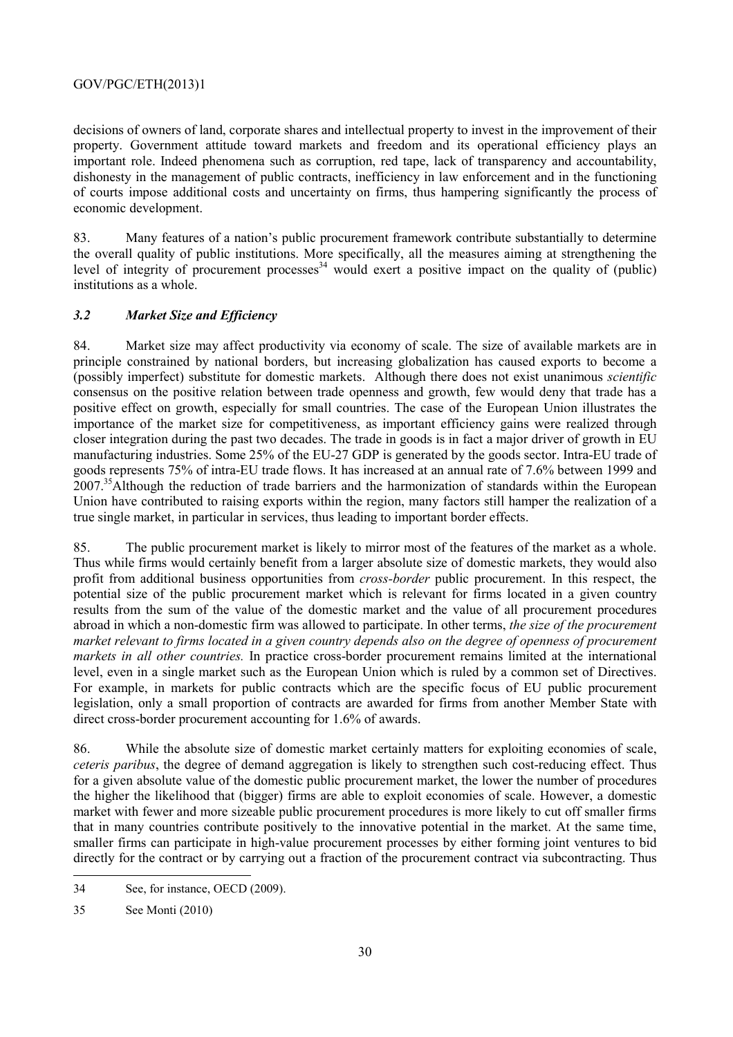decisions of owners of land, corporate shares and intellectual property to invest in the improvement of their property. Government attitude toward markets and freedom and its operational efficiency plays an important role. Indeed phenomena such as corruption, red tape, lack of transparency and accountability, dishonesty in the management of public contracts, inefficiency in law enforcement and in the functioning of courts impose additional costs and uncertainty on firms, thus hampering significantly the process of economic development.

83. Many features of a nation's public procurement framework contribute substantially to determine the overall quality of public institutions. More specifically, all the measures aiming at strengthening the level of integrity of procurement processes<sup>34</sup> would exert a positive impact on the quality of (public) institutions as a whole.

#### *3.2 Market Size and Efficiency*

84. Market size may affect productivity via economy of scale. The size of available markets are in principle constrained by national borders, but increasing globalization has caused exports to become a (possibly imperfect) substitute for domestic markets. Although there does not exist unanimous *scientific* consensus on the positive relation between trade openness and growth, few would deny that trade has a positive effect on growth, especially for small countries. The case of the European Union illustrates the importance of the market size for competitiveness, as important efficiency gains were realized through closer integration during the past two decades. The trade in goods is in fact a major driver of growth in EU manufacturing industries. Some 25% of the EU-27 GDP is generated by the goods sector. Intra-EU trade of goods represents 75% of intra-EU trade flows. It has increased at an annual rate of 7.6% between 1999 and 2007.<sup>35</sup>Although the reduction of trade barriers and the harmonization of standards within the European Union have contributed to raising exports within the region, many factors still hamper the realization of a true single market, in particular in services, thus leading to important border effects.

85. The public procurement market is likely to mirror most of the features of the market as a whole. Thus while firms would certainly benefit from a larger absolute size of domestic markets, they would also profit from additional business opportunities from *cross-border* public procurement. In this respect, the potential size of the public procurement market which is relevant for firms located in a given country results from the sum of the value of the domestic market and the value of all procurement procedures abroad in which a non-domestic firm was allowed to participate. In other terms, *the size of the procurement market relevant to firms located in a given country depends also on the degree of openness of procurement markets in all other countries.* In practice cross-border procurement remains limited at the international level, even in a single market such as the European Union which is ruled by a common set of Directives. For example, in markets for public contracts which are the specific focus of EU public procurement legislation, only a small proportion of contracts are awarded for firms from another Member State with direct cross-border procurement accounting for 1.6% of awards.

86. While the absolute size of domestic market certainly matters for exploiting economies of scale, *ceteris paribus*, the degree of demand aggregation is likely to strengthen such cost-reducing effect. Thus for a given absolute value of the domestic public procurement market, the lower the number of procedures the higher the likelihood that (bigger) firms are able to exploit economies of scale. However, a domestic market with fewer and more sizeable public procurement procedures is more likely to cut off smaller firms that in many countries contribute positively to the innovative potential in the market. At the same time, smaller firms can participate in high-value procurement processes by either forming joint ventures to bid directly for the contract or by carrying out a fraction of the procurement contract via subcontracting. Thus

<sup>34</sup> See, for instance, OECD (2009).

<sup>35</sup> See Monti (2010)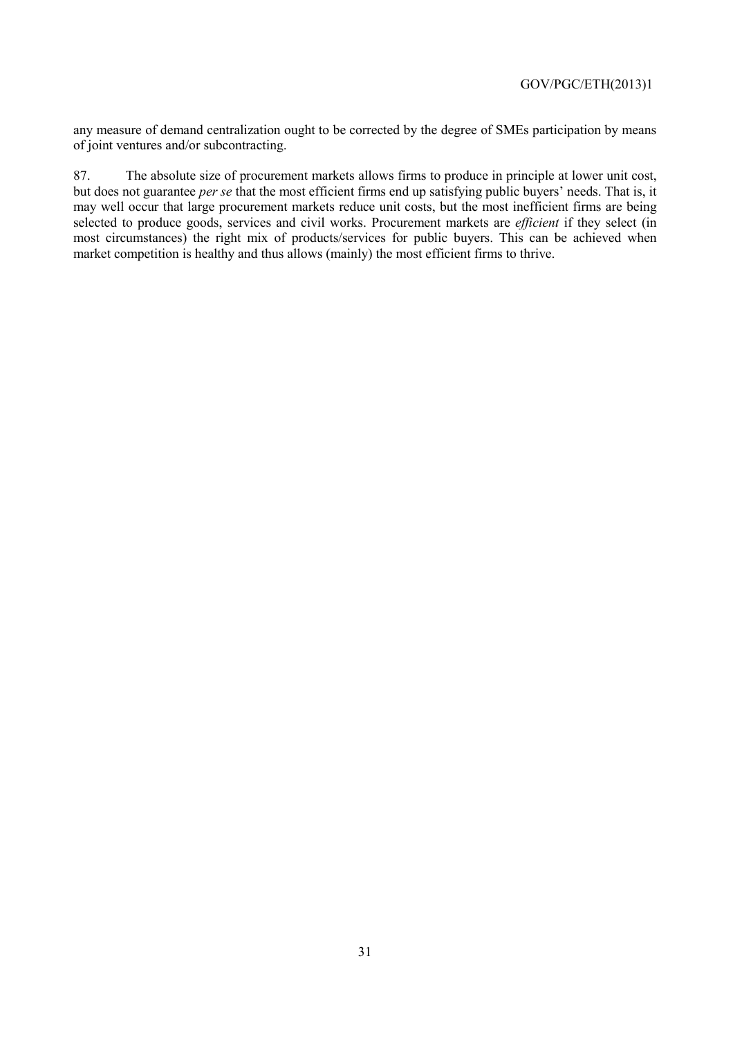any measure of demand centralization ought to be corrected by the degree of SMEs participation by means of joint ventures and/or subcontracting.

87. The absolute size of procurement markets allows firms to produce in principle at lower unit cost, but does not guarantee *per se* that the most efficient firms end up satisfying public buyers' needs. That is, it may well occur that large procurement markets reduce unit costs, but the most inefficient firms are being selected to produce goods, services and civil works. Procurement markets are *efficient* if they select (in most circumstances) the right mix of products/services for public buyers. This can be achieved when market competition is healthy and thus allows (mainly) the most efficient firms to thrive.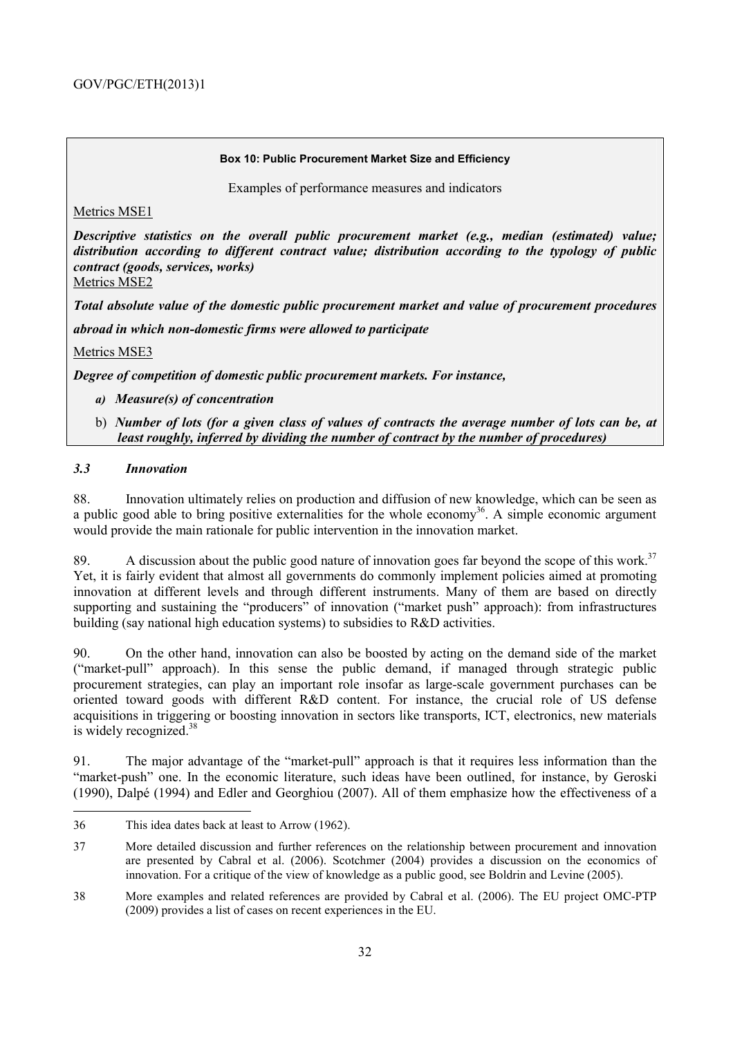#### **Box 10: Public Procurement Market Size and Efficiency**

Examples of performance measures and indicators

Metrics MSE1

*Descriptive statistics on the overall public procurement market (e.g., median (estimated) value; distribution according to different contract value; distribution according to the typology of public contract (goods, services, works)*  Metrics MSE2

*Total absolute value of the domestic public procurement market and value of procurement procedures* 

*abroad in which non-domestic firms were allowed to participate*

Metrics MSE3

*Degree of competition of domestic public procurement markets. For instance,* 

- *a) Measure(s) of concentration*
- b) *Number of lots (for a given class of values of contracts the average number of lots can be, at least roughly, inferred by dividing the number of contract by the number of procedures)*

#### *3.3 Innovation*

 $\overline{a}$ 

88. Innovation ultimately relies on production and diffusion of new knowledge, which can be seen as a public good able to bring positive externalities for the whole economy<sup>36</sup>. A simple economic argument would provide the main rationale for public intervention in the innovation market.

89. A discussion about the public good nature of innovation goes far beyond the scope of this work.<sup>37</sup> Yet, it is fairly evident that almost all governments do commonly implement policies aimed at promoting innovation at different levels and through different instruments. Many of them are based on directly supporting and sustaining the "producers" of innovation ("market push" approach): from infrastructures building (say national high education systems) to subsidies to R&D activities.

90. On the other hand, innovation can also be boosted by acting on the demand side of the market ("market-pull" approach). In this sense the public demand, if managed through strategic public procurement strategies, can play an important role insofar as large-scale government purchases can be oriented toward goods with different R&D content. For instance, the crucial role of US defense acquisitions in triggering or boosting innovation in sectors like transports, ICT, electronics, new materials is widely recognized.<sup>38</sup>

91. The major advantage of the "market-pull" approach is that it requires less information than the "market-push" one. In the economic literature, such ideas have been outlined, for instance, by Geroski (1990), Dalpé (1994) and Edler and Georghiou (2007). All of them emphasize how the effectiveness of a

<sup>36</sup> This idea dates back at least to Arrow (1962).

<sup>37</sup> More detailed discussion and further references on the relationship between procurement and innovation are presented by Cabral et al. (2006). Scotchmer (2004) provides a discussion on the economics of innovation. For a critique of the view of knowledge as a public good, see Boldrin and Levine (2005).

<sup>38</sup> More examples and related references are provided by Cabral et al. (2006). The EU project OMC-PTP (2009) provides a list of cases on recent experiences in the EU.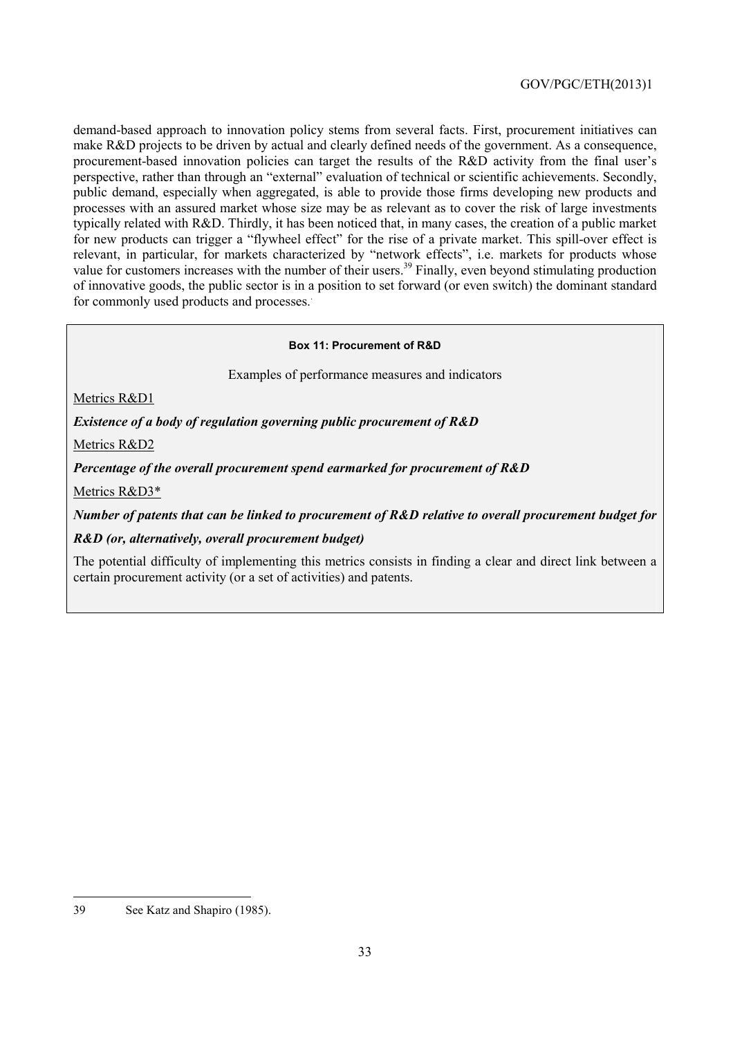demand-based approach to innovation policy stems from several facts. First, procurement initiatives can make R&D projects to be driven by actual and clearly defined needs of the government. As a consequence, procurement-based innovation policies can target the results of the R&D activity from the final user's perspective, rather than through an "external" evaluation of technical or scientific achievements. Secondly, public demand, especially when aggregated, is able to provide those firms developing new products and processes with an assured market whose size may be as relevant as to cover the risk of large investments typically related with R&D. Thirdly, it has been noticed that, in many cases, the creation of a public market for new products can trigger a "flywheel effect" for the rise of a private market. This spill-over effect is relevant, in particular, for markets characterized by "network effects", i.e. markets for products whose value for customers increases with the number of their users.<sup>39</sup> Finally, even beyond stimulating production of innovative goods, the public sector is in a position to set forward (or even switch) the dominant standard for commonly used products and processes..

#### **Box 11: Procurement of R&D**

Examples of performance measures and indicators

Metrics R&D1

*Existence of a body of regulation governing public procurement of R&D* 

Metrics R&D2

*Percentage of the overall procurement spend earmarked for procurement of R&D* 

Metrics R&D3\*

*Number of patents that can be linked to procurement of R&D relative to overall procurement budget for* 

*R&D (or, alternatively, overall procurement budget)* 

The potential difficulty of implementing this metrics consists in finding a clear and direct link between a certain procurement activity (or a set of activities) and patents.

<sup>39</sup> See Katz and Shapiro (1985).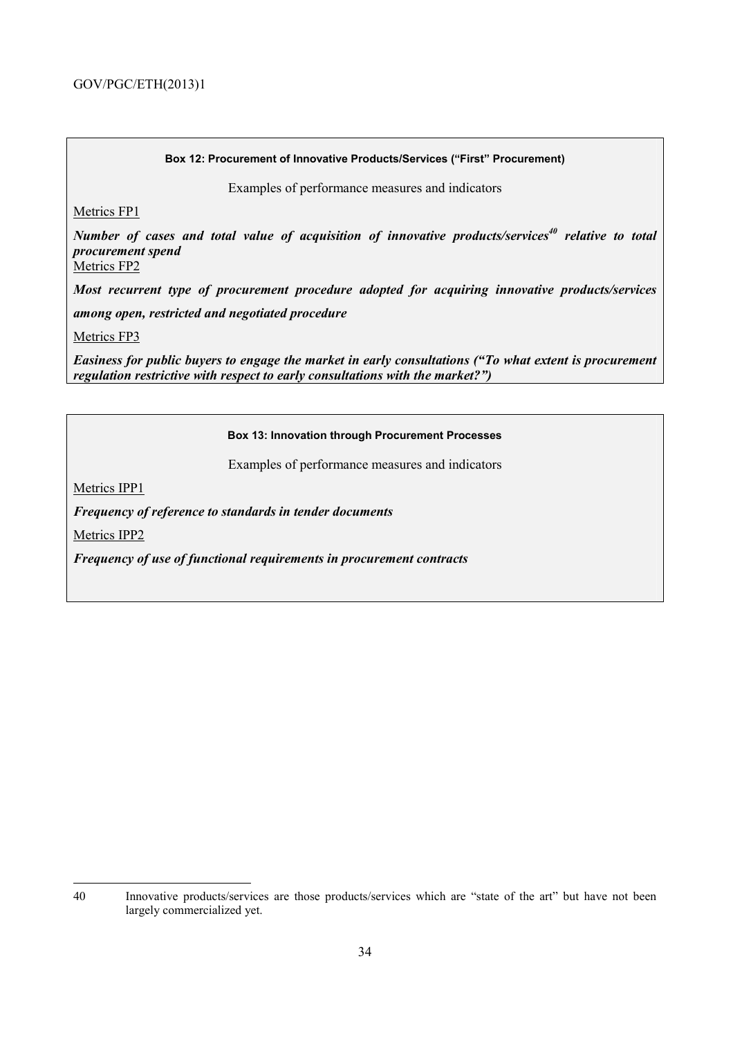#### **Box 12: Procurement of Innovative Products/Services ("First" Procurement)**

Examples of performance measures and indicators

Metrics FP1

*Number of cases and total value of acquisition of innovative products/services<sup>40</sup> relative to total procurement spend*

Metrics FP2

*Most recurrent type of procurement procedure adopted for acquiring innovative products/services* 

*among open, restricted and negotiated procedure* 

Metrics FP3

*Easiness for public buyers to engage the market in early consultations ("To what extent is procurement regulation restrictive with respect to early consultations with the market?")*

#### **Box 13: Innovation through Procurement Processes**

Examples of performance measures and indicators

Metrics IPP1

*Frequency of reference to standards in tender documents* 

Metrics IPP2

*Frequency of use of functional requirements in procurement contracts*

<sup>40</sup> Innovative products/services are those products/services which are "state of the art" but have not been largely commercialized yet.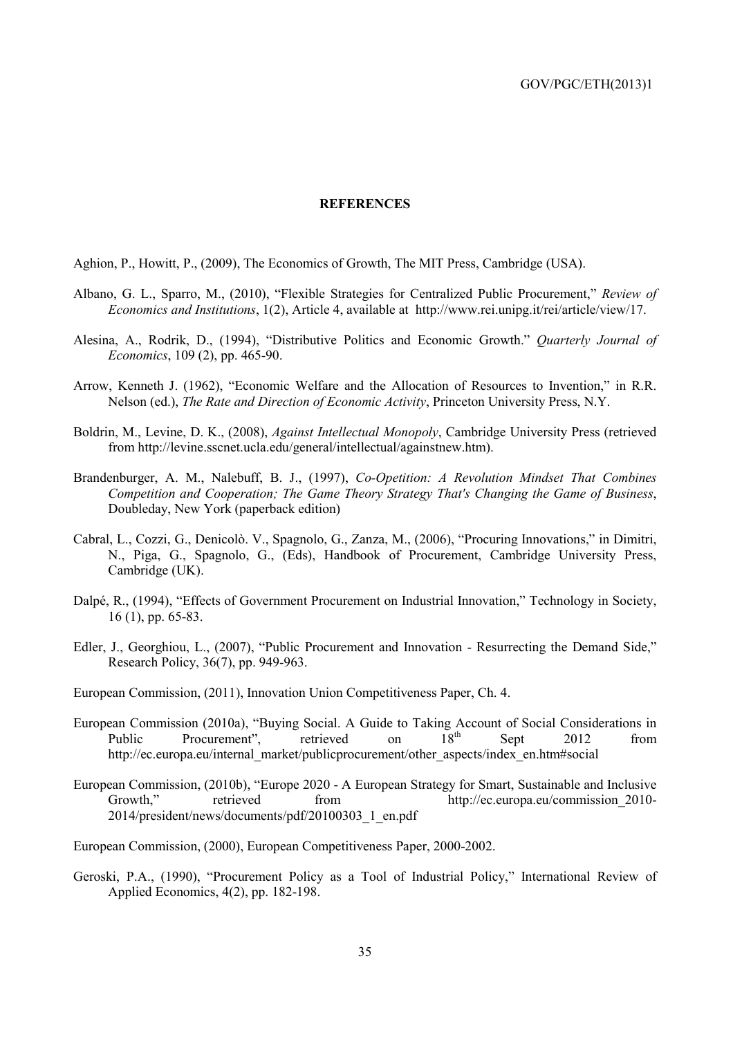#### **REFERENCES**

Aghion, P., Howitt, P., (2009), The Economics of Growth, The MIT Press, Cambridge (USA).

- Albano, G. L., Sparro, M., (2010), "Flexible Strategies for Centralized Public Procurement," *Review of Economics and Institutions*, 1(2), Article 4, available at http://www.rei.unipg.it/rei/article/view/17.
- Alesina, A., Rodrik, D., (1994), "Distributive Politics and Economic Growth." *Quarterly Journal of Economics*, 109 (2), pp. 465-90.
- Arrow, Kenneth J. (1962), "Economic Welfare and the Allocation of Resources to Invention," in R.R. Nelson (ed.), *The Rate and Direction of Economic Activity*, Princeton University Press, N.Y.
- Boldrin, M., Levine, D. K., (2008), *Against Intellectual Monopoly*, Cambridge University Press (retrieved from http://levine.sscnet.ucla.edu/general/intellectual/againstnew.htm).
- Brandenburger, A. M., Nalebuff, B. J., (1997), *Co-Opetition: A Revolution Mindset That Combines Competition and Cooperation; The Game Theory Strategy That's Changing the Game of Business*, Doubleday, New York (paperback edition)
- Cabral, L., Cozzi, G., Denicolò. V., Spagnolo, G., Zanza, M., (2006), "Procuring Innovations," in Dimitri, N., Piga, G., Spagnolo, G., (Eds), Handbook of Procurement, Cambridge University Press, Cambridge (UK).
- Dalpé, R., (1994), "Effects of Government Procurement on Industrial Innovation," Technology in Society, 16 (1), pp. 65-83.
- Edler, J., Georghiou, L., (2007), "Public Procurement and Innovation Resurrecting the Demand Side," Research Policy, 36(7), pp. 949-963.
- European Commission, (2011), Innovation Union Competitiveness Paper, Ch. 4.
- European Commission (2010a), "Buying Social. A Guide to Taking Account of Social Considerations in<br>Public Procurement" retrieved on  $18^{th}$  Sent 2012 from Public Procurement", retrieved on  $18<sup>th</sup>$  Sept 2012 from http://ec.europa.eu/internal\_market/publicprocurement/other\_aspects/index\_en.htm#social
- European Commission, (2010b), "Europe 2020 A European Strategy for Smart, Sustainable and Inclusive Growth," retrieved from http://ec.europa.eu/commission 2010-2014/president/news/documents/pdf/20100303\_1\_en.pdf

European Commission, (2000), European Competitiveness Paper, 2000-2002.

Geroski, P.A., (1990), "Procurement Policy as a Tool of Industrial Policy," International Review of Applied Economics, 4(2), pp. 182-198.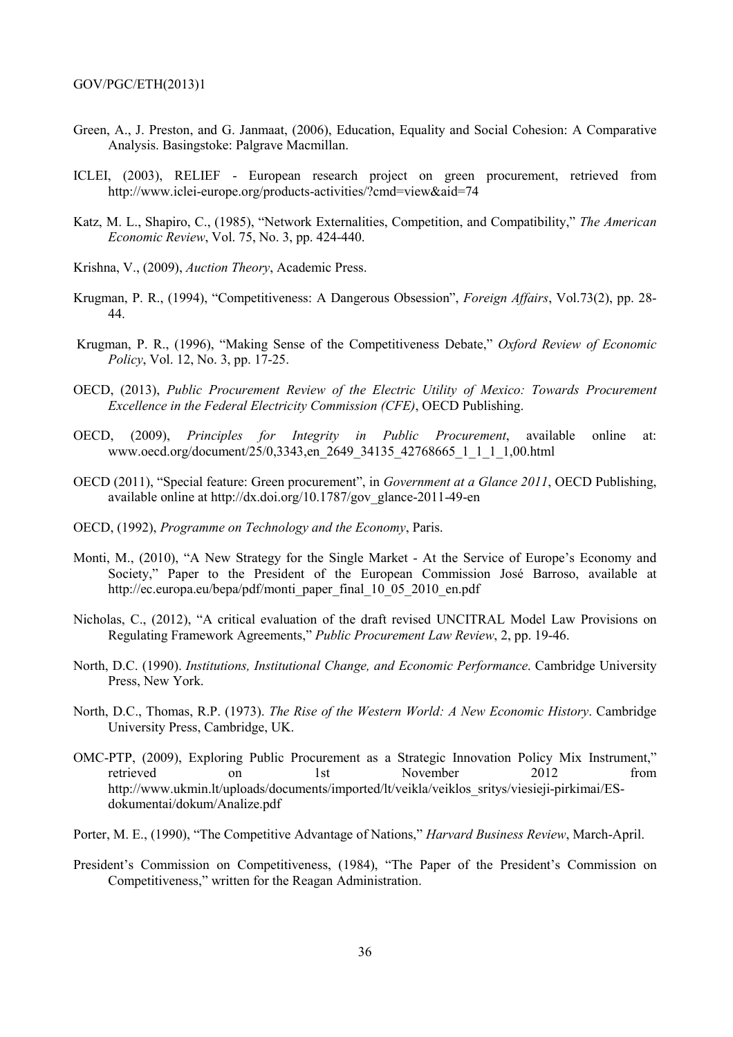- Green, A., J. Preston, and G. Janmaat, (2006), Education, Equality and Social Cohesion: A Comparative Analysis. Basingstoke: Palgrave Macmillan.
- ICLEI, (2003), RELIEF European research project on green procurement, retrieved from http://www.iclei-europe.org/products-activities/?cmd=view&aid=74
- Katz, M. L., Shapiro, C., (1985), "Network Externalities, Competition, and Compatibility," *The American Economic Review*, Vol. 75, No. 3, pp. 424-440.
- Krishna, V., (2009), *Auction Theory*, Academic Press.
- Krugman, P. R., (1994), "Competitiveness: A Dangerous Obsession", *Foreign Affairs*, Vol.73(2), pp. 28- 44.
- Krugman, P. R., (1996), "Making Sense of the Competitiveness Debate," *Oxford Review of Economic Policy*, Vol. 12, No. 3, pp. 17-25.
- OECD, (2013), *Public Procurement Review of the Electric Utility of Mexico: Towards Procurement Excellence in the Federal Electricity Commission (CFE)*, OECD Publishing.
- OECD, (2009), *Principles for Integrity in Public Procurement*, available online at: www.oecd.org/document/25/0,3343,en\_2649\_34135\_42768665\_1\_1\_1\_1,00.html
- OECD (2011), "Special feature: Green procurement", in *Government at a Glance 2011*, OECD Publishing, available online at http://dx.doi.org/10.1787/gov\_glance-2011-49-en
- OECD, (1992), *Programme on Technology and the Economy*, Paris.
- Monti, M., (2010), "A New Strategy for the Single Market At the Service of Europe's Economy and Society," Paper to the President of the European Commission José Barroso, available at http://ec.europa.eu/bepa/pdf/monti\_paper\_final\_10\_05\_2010\_en.pdf
- Nicholas, C., (2012), "A critical evaluation of the draft revised UNCITRAL Model Law Provisions on Regulating Framework Agreements," *Public Procurement Law Review*, 2, pp. 19-46.
- North, D.C. (1990). *Institutions, Institutional Change, and Economic Performance*. Cambridge University Press, New York.
- North, D.C., Thomas, R.P. (1973). *The Rise of the Western World: A New Economic History*. Cambridge University Press, Cambridge, UK.
- OMC-PTP, (2009), Exploring Public Procurement as a Strategic Innovation Policy Mix Instrument," retrieved on 1st November 2012 from http://www.ukmin.lt/uploads/documents/imported/lt/veikla/veiklos\_sritys/viesieji-pirkimai/ESdokumentai/dokum/Analize.pdf
- Porter, M. E., (1990), "The Competitive Advantage of Nations," *Harvard Business Review*, March-April.
- President's Commission on Competitiveness, (1984), "The Paper of the President's Commission on Competitiveness," written for the Reagan Administration.